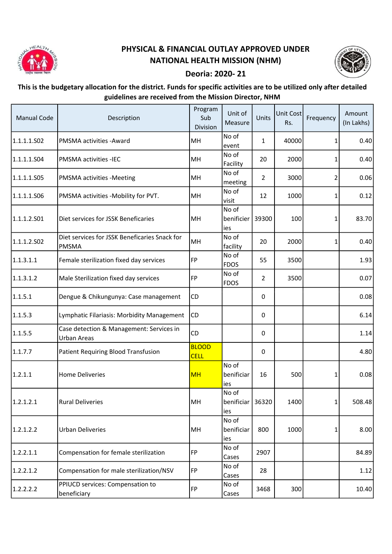

## PHYSICAL & FINANCIAL OUTLAY APPROVED UNDER NATIONAL HEALTH MISSION (NHM)



## Deoria: 2020- 21

## This is the budgetary allocation for the district. Funds for specific activities are to be utilized only after detailed guidelines are received from the Mission Director, NHM

| <b>Manual Code</b> | Description                                                    | Program<br>Sub<br>Division  | Unit of<br>Measure                  | Units          | <b>Unit Cost</b><br>Rs. | Frequency      | Amount<br>(In Lakhs) |
|--------------------|----------------------------------------------------------------|-----------------------------|-------------------------------------|----------------|-------------------------|----------------|----------------------|
| 1.1.1.1.S02        | PMSMA activities - Award                                       | MH                          | No of<br>event                      | $\mathbf{1}$   | 40000                   | 1              | 0.40                 |
| 1.1.1.1.S04        | PMSMA activities -IEC                                          | MH                          | No of<br>Facility                   | 20             | 2000                    | 1              | 0.40                 |
| 1.1.1.1.505        | PMSMA activities - Meeting                                     | MH                          | No of<br>meeting                    | $\overline{2}$ | 3000                    | $\overline{2}$ | 0.06                 |
| 1.1.1.1.S06        | PMSMA activities -Mobility for PVT.                            | MH                          | No of<br>visit                      | 12             | 1000                    | 1              | 0.12                 |
| 1.1.1.2.501        | Diet services for JSSK Beneficaries                            | MH                          | No of<br>benificier<br>ies          | 39300          | 100                     | 1              | 83.70                |
| 1.1.1.2.502        | Diet services for JSSK Beneficaries Snack for<br><b>PMSMA</b>  | MH                          | No of<br>facility                   | 20             | 2000                    | 1              | 0.40                 |
| 1.1.3.1.1          | Female sterilization fixed day services                        | FP                          | No of<br><b>FDOS</b>                | 55             | 3500                    |                | 1.93                 |
| 1.1.3.1.2          | Male Sterilization fixed day services                          | FP                          | No of<br><b>FDOS</b>                | $\overline{2}$ | 3500                    |                | 0.07                 |
| 1.1.5.1            | Dengue & Chikungunya: Case management                          | CD                          |                                     | 0              |                         |                | 0.08                 |
| 1.1.5.3            | Lymphatic Filariasis: Morbidity Management                     | <b>CD</b>                   |                                     | 0              |                         |                | 6.14                 |
| 1.1.5.5            | Case detection & Management: Services in<br><b>Urban Areas</b> | CD                          |                                     | 0              |                         |                | 1.14                 |
| 1.1.7.7            | Patient Requiring Blood Transfusion                            | <b>BLOOD</b><br><b>CELL</b> |                                     | 0              |                         |                | 4.80                 |
| 1.2.1.1            | <b>Home Deliveries</b>                                         | <b>MH</b>                   | No of<br>benificiar<br>ies          | 16             | 500                     | 1              | 0.08                 |
| 1.2.1.2.1          | <b>Rural Deliveries</b>                                        | MH                          | No of<br>benificiar $ 36320$<br>ies |                | 1400                    | $1\vert$       | 508.48               |
| 1.2.1.2.2          | <b>Urban Deliveries</b>                                        | MH                          | No of<br>benificiar<br>ies          | 800            | 1000                    | 1              | 8.00                 |
| 1.2.2.1.1          | Compensation for female sterilization                          | <b>FP</b>                   | No of<br>Cases                      | 2907           |                         |                | 84.89                |
| 1.2.2.1.2          | Compensation for male sterilization/NSV                        | <b>FP</b>                   | No of<br>Cases                      | 28             |                         |                | 1.12                 |
| 1.2.2.2.2          | PPIUCD services: Compensation to<br>beneficiary                | FP                          | No of<br>Cases                      | 3468           | 300                     |                | 10.40                |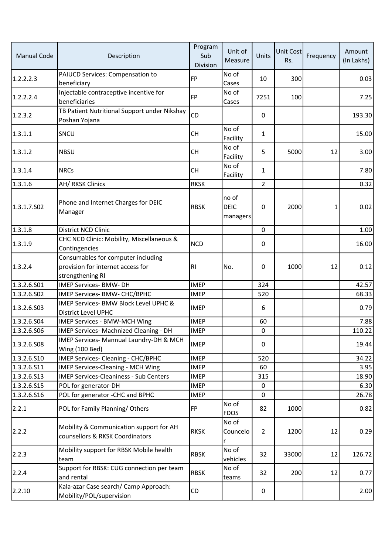| <b>Manual Code</b> | Description                                                                                 | Program<br>Sub<br>Division | Unit of<br><b>Measure</b>        | Units          | <b>Unit Cost</b><br>Rs. | Frequency | Amount<br>(In Lakhs) |
|--------------------|---------------------------------------------------------------------------------------------|----------------------------|----------------------------------|----------------|-------------------------|-----------|----------------------|
| 1.2.2.2.3          | PAIUCD Services: Compensation to<br>beneficiary                                             | <b>FP</b>                  | No of<br>Cases                   | 10             | 300                     |           | 0.03                 |
| 1.2.2.2.4          | Injectable contraceptive incentive for<br>beneficiaries                                     | <b>FP</b>                  | No of<br>Cases                   | 7251           | 100                     |           | 7.25                 |
| 1.2.3.2            | TB Patient Nutritional Support under Nikshay<br>Poshan Yojana                               | CD                         |                                  | 0              |                         |           | 193.30               |
| 1.3.1.1            | SNCU                                                                                        | <b>CH</b>                  | No of<br>Facility                | $\mathbf{1}$   |                         |           | 15.00                |
| 1.3.1.2            | <b>NBSU</b>                                                                                 | <b>CH</b>                  | No of<br>Facility                | 5              | 5000                    | 12        | 3.00                 |
| 1.3.1.4            | <b>NRCs</b>                                                                                 | <b>CH</b>                  | No of<br>Facility                | $\mathbf{1}$   |                         |           | 7.80                 |
| 1.3.1.6            | AH/RKSK Clinics                                                                             | <b>RKSK</b>                |                                  | $\overline{2}$ |                         |           | 0.32                 |
| 1.3.1.7.502        | Phone and Internet Charges for DEIC<br>Manager                                              | <b>RBSK</b>                | no of<br><b>DEIC</b><br>managers | 0              | 2000                    | 1         | 0.02                 |
| 1.3.1.8            | <b>District NCD Clinic</b>                                                                  |                            |                                  | 0              |                         |           | 1.00                 |
| 1.3.1.9            | CHC NCD Clinic: Mobility, Miscellaneous &<br>Contingencies                                  | <b>NCD</b>                 |                                  | 0              |                         |           | 16.00                |
| 1.3.2.4            | Consumables for computer including<br>provision for internet access for<br>strengthening RI | R <sub>l</sub>             | No.                              | 0              | 1000                    | 12        | 0.12                 |
| 1.3.2.6.S01        | IMEP Services- BMW- DH                                                                      | <b>IMEP</b>                |                                  | 324            |                         |           | 42.57                |
| 1.3.2.6.S02        | IMEP Services- BMW- CHC/BPHC                                                                | <b>IMEP</b>                |                                  | 520            |                         |           | 68.33                |
| 1.3.2.6.503        | IMEP Services- BMW Block Level UPHC &<br>District Level UPHC                                | <b>IMEP</b>                |                                  | 6              |                         |           | 0.79                 |
| 1.3.2.6.S04        | IMEP Services - BMW-MCH Wing                                                                | <b>IMEP</b>                |                                  | 60             |                         |           | 7.88                 |
| 1.3.2.6.506        | IMEP Services- Machnized Cleaning - DH                                                      | <b>IMEP</b>                |                                  | 0              |                         |           | 110.22               |
| 1.3.2.6.508        | IMEP Services- Mannual Laundry-DH & MCH<br>Wing (100 Bed)                                   | <b>IMEP</b>                |                                  | 0              |                         |           | 19.44                |
| 1.3.2.6.510        | IMEP Services- Cleaning - CHC/BPHC                                                          | <b>IMEP</b>                |                                  | 520            |                         |           | 34.22                |
| 1.3.2.6.511        | <b>IMEP Services-Cleaning - MCH Wing</b>                                                    | <b>IMEP</b>                |                                  | 60             |                         |           | 3.95                 |
| 1.3.2.6.513        | <b>IMEP Services-Cleaniness - Sub Centers</b>                                               | <b>IMEP</b>                |                                  | 315            |                         |           | 18.90                |
| 1.3.2.6.S15        | POL for generator-DH                                                                        | <b>IMEP</b>                |                                  | 0              |                         |           | 6.30                 |
| 1.3.2.6.516        | POL for generator -CHC and BPHC                                                             | <b>IMEP</b>                |                                  | 0              |                         |           | 26.78                |
| 2.2.1              | POL for Family Planning/Others                                                              | <b>FP</b>                  | No of<br><b>FDOS</b>             | 82             | 1000                    |           | 0.82                 |
| 2.2.2              | Mobility & Communication support for AH<br>counsellors & RKSK Coordinators                  | <b>RKSK</b>                | No of<br>Councelo<br>r           | $\overline{2}$ | 1200                    | 12        | 0.29                 |
| 2.2.3              | Mobility support for RBSK Mobile health<br>team                                             | <b>RBSK</b>                | No of<br>vehicles                | 32             | 33000                   | 12        | 126.72               |
| 2.2.4              | Support for RBSK: CUG connection per team<br>and rental                                     | <b>RBSK</b>                | No of<br>teams                   | 32             | 200                     | 12        | 0.77                 |
| 2.2.10             | Kala-azar Case search/ Camp Approach:<br>Mobility/POL/supervision                           | CD                         |                                  | 0              |                         |           | 2.00                 |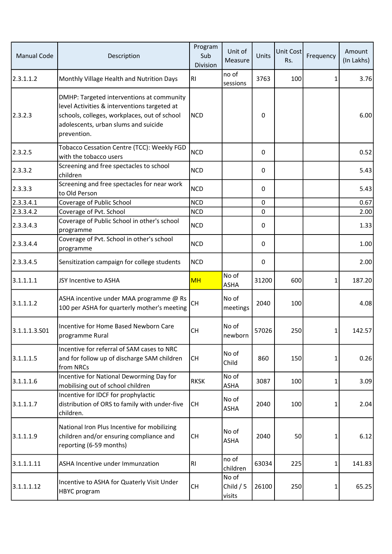| <b>Manual Code</b> | Description                                                                                                                                                                                      | Program<br>Sub<br>Division | Unit of<br>Measure            | Units | <b>Unit Cost</b><br>Rs. | Frequency | Amount<br>(In Lakhs) |
|--------------------|--------------------------------------------------------------------------------------------------------------------------------------------------------------------------------------------------|----------------------------|-------------------------------|-------|-------------------------|-----------|----------------------|
| 2.3.1.1.2          | Monthly Village Health and Nutrition Days                                                                                                                                                        | R1                         | no of<br>sessions             | 3763  | 100                     | 1         | 3.76                 |
| 2.3.2.3            | DMHP: Targeted interventions at community<br>level Activities & interventions targeted at<br>schools, colleges, workplaces, out of school<br>adolescents, urban slums and suicide<br>prevention. | <b>NCD</b>                 |                               | 0     |                         |           | 6.00                 |
| 2.3.2.5            | Tobacco Cessation Centre (TCC): Weekly FGD<br>with the tobacco users                                                                                                                             | <b>NCD</b>                 |                               | 0     |                         |           | 0.52                 |
| 2.3.3.2            | Screening and free spectacles to school<br>children                                                                                                                                              | <b>NCD</b>                 |                               | 0     |                         |           | 5.43                 |
| 2.3.3.3            | Screening and free spectacles for near work<br>to Old Person                                                                                                                                     | <b>NCD</b>                 |                               | 0     |                         |           | 5.43                 |
| 2.3.3.4.1          | Coverage of Public School                                                                                                                                                                        | <b>NCD</b>                 |                               | 0     |                         |           | 0.67                 |
| 2.3.3.4.2          | Coverage of Pvt. School                                                                                                                                                                          | <b>NCD</b>                 |                               | 0     |                         |           | 2.00                 |
| 2.3.3.4.3          | Coverage of Public School in other's school<br>programme                                                                                                                                         | <b>NCD</b>                 |                               | 0     |                         |           | 1.33                 |
| 2.3.3.4.4          | Coverage of Pvt. School in other's school<br>programme                                                                                                                                           | <b>NCD</b>                 |                               | 0     |                         |           | 1.00                 |
| 2.3.3.4.5          | Sensitization campaign for college students                                                                                                                                                      | <b>NCD</b>                 |                               | 0     |                         |           | 2.00                 |
| 3.1.1.1.1          | JSY Incentive to ASHA                                                                                                                                                                            | <b>MH</b>                  | No of<br><b>ASHA</b>          | 31200 | 600                     | 1         | 187.20               |
| 3.1.1.1.2          | ASHA incentive under MAA programme @ Rs<br>100 per ASHA for quarterly mother's meeting                                                                                                           | <b>CH</b>                  | No of<br>meetings             | 2040  | 100                     |           | 4.08                 |
| 3.1.1.1.3.501      | Incentive for Home Based Newborn Care<br>programme Rural                                                                                                                                         | <b>CH</b>                  | No of<br>newborn              | 57026 | 250                     | 1         | 142.57               |
| 3.1.1.1.5          | Incentive for referral of SAM cases to NRC<br>and for follow up of discharge SAM children<br>from NRCs                                                                                           | <b>CH</b>                  | No of<br>Child                | 860   | 150                     | 1         | 0.26                 |
| 3.1.1.1.6          | Incentive for National Deworming Day for<br>mobilising out of school children                                                                                                                    | <b>RKSK</b>                | No of<br><b>ASHA</b>          | 3087  | 100                     | 1         | 3.09                 |
| 3.1.1.1.7          | Incentive for IDCF for prophylactic<br>distribution of ORS to family with under-five<br>children.                                                                                                | <b>CH</b>                  | No of<br><b>ASHA</b>          | 2040  | 100                     | 1         | 2.04                 |
| 3.1.1.1.9          | National Iron Plus Incentive for mobilizing<br>children and/or ensuring compliance and<br>reporting (6-59 months)                                                                                | <b>CH</b>                  | No of<br><b>ASHA</b>          | 2040  | 50                      | 1         | 6.12                 |
| 3.1.1.1.11         | ASHA Incentive under Immunzation                                                                                                                                                                 | RI                         | no of<br>children             | 63034 | 225                     | 1         | 141.83               |
| 3.1.1.1.12         | Incentive to ASHA for Quaterly Visit Under<br>HBYC program                                                                                                                                       | <b>CH</b>                  | No of<br>Child $/5$<br>visits | 26100 | 250                     | 1         | 65.25                |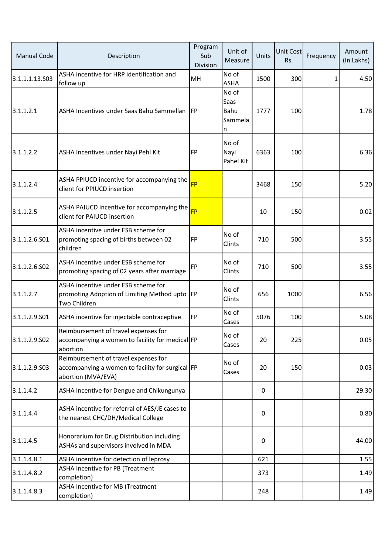| <b>Manual Code</b> | Description                                                                                                    | Program<br>Sub<br>Division | Unit of<br>Measure                    | Units | <b>Unit Cost</b><br>Rs. | Frequency | Amount<br>(In Lakhs) |
|--------------------|----------------------------------------------------------------------------------------------------------------|----------------------------|---------------------------------------|-------|-------------------------|-----------|----------------------|
| 3.1.1.1.13.503     | ASHA incentive for HRP identification and<br>follow up                                                         | MH                         | No of<br><b>ASHA</b>                  | 1500  | 300                     | 1         | 4.50                 |
| 3.1.1.2.1          | ASHA Incentives under Saas Bahu Sammellan                                                                      | <b>IFP</b>                 | No of<br>Saas<br>Bahu<br>Sammela<br>n | 1777  | 100                     |           | 1.78                 |
| 3.1.1.2.2          | ASHA Incentives under Nayi Pehl Kit                                                                            | FP                         | No of<br>Nayi<br>Pahel Kit            | 6363  | 100                     |           | 6.36                 |
| 3.1.1.2.4          | ASHA PPIUCD incentive for accompanying the<br>client for PPIUCD insertion                                      | <b>FP</b>                  |                                       | 3468  | 150                     |           | 5.20                 |
| 3.1.1.2.5          | ASHA PAIUCD incentive for accompanying the<br>client for PAIUCD insertion                                      | <b>FP</b>                  |                                       | 10    | 150                     |           | 0.02                 |
| 3.1.1.2.6.501      | ASHA incentive under ESB scheme for<br>promoting spacing of births between 02<br>children                      | FP                         | No of<br>Clints                       | 710   | 500                     |           | 3.55                 |
| 3.1.1.2.6.502      | ASHA incentive under ESB scheme for<br>promoting spacing of 02 years after marriage                            | FP                         | No of<br>Clints                       | 710   | 500                     |           | 3.55                 |
| 3.1.1.2.7          | ASHA incentive under ESB scheme for<br>promoting Adoption of Limiting Method upto<br>Two Children              | <b>IFP</b>                 | No of<br>Clints                       | 656   | 1000                    |           | 6.56                 |
| 3.1.1.2.9.501      | ASHA incentive for injectable contraceptive                                                                    | FP                         | No of<br>Cases                        | 5076  | 100                     |           | 5.08                 |
| 3.1.1.2.9.S02      | Reimbursement of travel expenses for<br>accompanying a women to facility for medical FP<br>abortion            |                            | No of<br>Cases                        | 20    | 225                     |           | 0.05                 |
| 3.1.1.2.9.503      | Reimbursement of travel expenses for<br>accompanying a women to facility for surgical FP<br>abortion (MVA/EVA) |                            | No of<br>Cases                        | 20    | 150                     |           | 0.03                 |
| 3.1.1.4.2          | ASHA Incentive for Dengue and Chikungunya                                                                      |                            |                                       | 0     |                         |           | 29.30                |
| 3.1.1.4.4          | ASHA incentive for referral of AES/JE cases to<br>the nearest CHC/DH/Medical College                           |                            |                                       | 0     |                         |           | 0.80                 |
| 3.1.1.4.5          | Honorarium for Drug Distribution including<br>ASHAs and supervisors involved in MDA                            |                            |                                       | 0     |                         |           | 44.00                |
| 3.1.1.4.8.1        | ASHA incentive for detection of leprosy                                                                        |                            |                                       | 621   |                         |           | 1.55                 |
| 3.1.1.4.8.2        | ASHA Incentive for PB (Treatment<br>completion)                                                                |                            |                                       | 373   |                         |           | 1.49                 |
| 3.1.1.4.8.3        | ASHA Incentive for MB (Treatment<br>completion)                                                                |                            |                                       | 248   |                         |           | 1.49                 |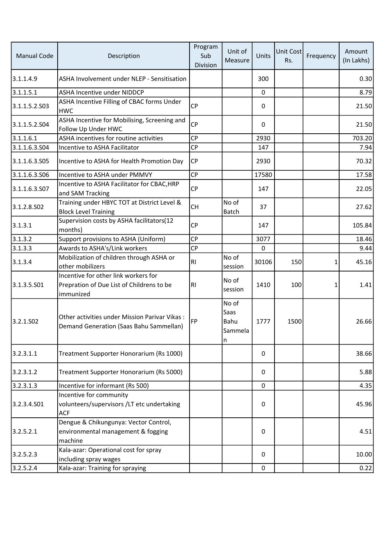| <b>Manual Code</b>    | Description                                                                                    | Program<br>Sub<br>Division | Unit of<br>Measure                    | Units       | Unit Cost<br>Rs. | Frequency | Amount<br>(In Lakhs) |
|-----------------------|------------------------------------------------------------------------------------------------|----------------------------|---------------------------------------|-------------|------------------|-----------|----------------------|
| 3.1.1.4.9             | ASHA Involvement under NLEP - Sensitisation                                                    |                            |                                       | 300         |                  |           | 0.30                 |
| 3.1.1.5.1             | <b>ASHA Incentive under NIDDCP</b>                                                             |                            |                                       | $\mathbf 0$ |                  |           | 8.79                 |
| 3.1.1.5.2.503         | ASHA Incentive Filling of CBAC forms Under<br><b>HWC</b>                                       | <b>CP</b>                  |                                       | 0           |                  |           | 21.50                |
| 3.1.1.5.2.504         | ASHA Incentive for Mobilising, Screening and<br>Follow Up Under HWC                            | <b>CP</b>                  |                                       | $\Omega$    |                  |           | 21.50                |
| 3.1.1.6.1             | ASHA incentives for routine activities                                                         | <b>CP</b>                  |                                       | 2930        |                  |           | 703.20               |
| 3.1.1.6.3.S04         | Incentive to ASHA Facilitator                                                                  | <b>CP</b>                  |                                       | 147         |                  |           | 7.94                 |
| 3.1.1.6.3.505         | Incentive to ASHA for Health Promotion Day                                                     | <b>CP</b>                  |                                       | 2930        |                  |           | 70.32                |
| 3.1.1.6.3.S06         | Incentive to ASHA under PMMVY                                                                  | <b>CP</b>                  |                                       | 17580       |                  |           | 17.58                |
| 3.1.1.6.3.S07         | Incentive to ASHA Facilitator for CBAC, HRP<br>and SAM Tracking                                | <b>CP</b>                  |                                       | 147         |                  |           | 22.05                |
| 3.1.2.8.502           | Training under HBYC TOT at District Level &<br><b>Block Level Training</b>                     | <b>CH</b>                  | No of<br><b>Batch</b>                 | 37          |                  |           | 27.62                |
| 3.1.3.1               | Supervision costs by ASHA facilitators(12<br>months)                                           | <b>CP</b>                  |                                       | 147         |                  |           | 105.84               |
| 3.1.3.2               | Support provisions to ASHA (Uniform)                                                           | <b>CP</b>                  |                                       | 3077        |                  |           | 18.46                |
| 3.1.3.3               | Awards to ASHA's/Link workers                                                                  | <b>CP</b>                  |                                       | 0           |                  |           | 9.44                 |
| 3.1.3.4               | Mobilization of children through ASHA or<br>other mobilizers                                   | <b>RI</b>                  | No of<br>session                      | 30106       | 150              | 1         | 45.16                |
| 3.1.3.5.501           | Incentive for other link workers for<br>Prepration of Due List of Childrens to be<br>immunized | R <sub>l</sub>             | No of<br>session                      | 1410        | 100              | 1         | 1.41                 |
| 3.2.1.SO <sub>2</sub> | Other activities under Mission Parivar Vikas:<br>Demand Generation (Saas Bahu Sammellan)       | FP                         | No of<br>Saas<br>Bahu<br>Sammela<br>n | 1777        | 1500             |           | 26.66                |
| 3.2.3.1.1             | Treatment Supporter Honorarium (Rs 1000)                                                       |                            |                                       | 0           |                  |           | 38.66                |
| 3.2.3.1.2             | Treatment Supporter Honorarium (Rs 5000)                                                       |                            |                                       | 0           |                  |           | 5.88                 |
| 3.2.3.1.3             | Incentive for informant (Rs 500)                                                               |                            |                                       | 0           |                  |           | 4.35                 |
| 3.2.3.4.501           | Incentive for community<br>volunteers/supervisors /LT etc undertaking<br><b>ACF</b>            |                            |                                       | 0           |                  |           | 45.96                |
| 3.2.5.2.1             | Dengue & Chikungunya: Vector Control,<br>environmental management & fogging<br>machine         |                            |                                       | 0           |                  |           | 4.51                 |
| 3.2.5.2.3             | Kala-azar: Operational cost for spray<br>including spray wages                                 |                            |                                       | 0           |                  |           | 10.00                |
| 3.2.5.2.4             | Kala-azar: Training for spraying                                                               |                            |                                       | 0           |                  |           | 0.22                 |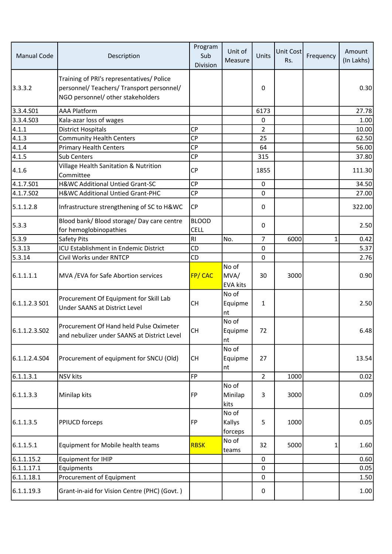| <b>Manual Code</b> | Description                                                                                                                 | Program<br>Sub<br>Division  | Unit of<br>Measure               | Units          | Unit Cost<br>Rs. | Frequency | Amount<br>(In Lakhs) |
|--------------------|-----------------------------------------------------------------------------------------------------------------------------|-----------------------------|----------------------------------|----------------|------------------|-----------|----------------------|
| 3.3.3.2            | Training of PRI's representatives/ Police<br>personnel/ Teachers/ Transport personnel/<br>NGO personnel/ other stakeholders |                             |                                  | 0              |                  |           | 0.30                 |
| 3.3.4.501          | <b>AAA Platform</b>                                                                                                         |                             |                                  | 6173           |                  |           | 27.78                |
| 3.3.4.503          | Kala-azar loss of wages                                                                                                     |                             |                                  | 0              |                  |           | 1.00                 |
| 4.1.1              | <b>District Hospitals</b>                                                                                                   | <b>CP</b>                   |                                  | 2              |                  |           | 10.00                |
| 4.1.3              | <b>Community Health Centers</b>                                                                                             | <b>CP</b>                   |                                  | 25             |                  |           | 62.50                |
| 4.1.4              | <b>Primary Health Centers</b>                                                                                               | <b>CP</b>                   |                                  | 64             |                  |           | 56.00                |
| 4.1.5              | Sub Centers                                                                                                                 | <b>CP</b>                   |                                  | 315            |                  |           | 37.80                |
| 4.1.6              | Village Health Sanitation & Nutrition<br>Committee                                                                          | <b>CP</b>                   |                                  | 1855           |                  |           | 111.30               |
| 4.1.7.S01          | H&WC Additional Untied Grant-SC                                                                                             | <b>CP</b>                   |                                  | $\mathbf 0$    |                  |           | 34.50                |
| 4.1.7.S02          | H&WC Additional Untied Grant-PHC                                                                                            | <b>CP</b>                   |                                  | 0              |                  |           | 27.00                |
| 5.1.1.2.8          | Infrastructure strengthening of SC to H&WC                                                                                  | <b>CP</b>                   |                                  | 0              |                  |           | 322.00               |
| 5.3.3              | Blood bank/ Blood storage/ Day care centre<br>for hemoglobinopathies                                                        | <b>BLOOD</b><br><b>CELL</b> |                                  | $\mathbf{0}$   |                  |           | 2.50                 |
| 5.3.9              | Safety Pits                                                                                                                 | R <sub>l</sub>              | No.                              | 7              | 6000             | 1         | 0.42                 |
| 5.3.13             | ICU Establishment in Endemic District                                                                                       | CD                          |                                  | 0              |                  |           | 5.37                 |
| 5.3.14             | Civil Works under RNTCP                                                                                                     | <b>CD</b>                   |                                  | 0              |                  |           | 2.76                 |
| 6.1.1.1.1          | MVA / EVA for Safe Abortion services                                                                                        | FP/CAC                      | No of<br>MVA/<br><b>EVA kits</b> | 30             | 3000             |           | 0.90                 |
| 6.1.1.2.3 S01      | Procurement Of Equipment for Skill Lab<br>Under SAANS at District Level                                                     | <b>CH</b>                   | No of<br>Equipme<br>nt           | 1              |                  |           | 2.50                 |
| 6.1.1.2.3.502      | Procurement Of Hand held Pulse Oximeter<br>and nebulizer under SAANS at District Level                                      | <b>CH</b>                   | No of<br>Equipme<br> nt          | 72             |                  |           | 6.48                 |
| 6.1.1.2.4.504      | Procurement of equipment for SNCU (Old)                                                                                     | <b>CH</b>                   | No of<br>Equipme<br>nt           | 27             |                  |           | 13.54                |
| 6.1.1.3.1          | NSV kits                                                                                                                    | <b>FP</b>                   |                                  | $\overline{2}$ | 1000             |           | 0.02                 |
| 6.1.1.3.3          | Minilap kits                                                                                                                | FP                          | No of<br>Minilap<br>kits         | 3              | 3000             |           | 0.09                 |
| 6.1.1.3.5          | PPIUCD forceps                                                                                                              | FP                          | No of<br>Kallys<br>forceps       | 5              | 1000             |           | 0.05                 |
| 6.1.1.5.1          | Equipment for Mobile health teams                                                                                           | <b>RBSK</b>                 | No of<br>teams                   | 32             | 5000             | 1         | 1.60                 |
| 6.1.1.15.2         | <b>Equipment for IHIP</b>                                                                                                   |                             |                                  | 0              |                  |           | 0.60                 |
| 6.1.1.17.1         | Equipments                                                                                                                  |                             |                                  | 0              |                  |           | 0.05                 |
| 6.1.1.18.1         | Procurement of Equipment                                                                                                    |                             |                                  | 0              |                  |           | 1.50                 |
| 6.1.1.19.3         | Grant-in-aid for Vision Centre (PHC) (Govt.)                                                                                |                             |                                  | 0              |                  |           | 1.00                 |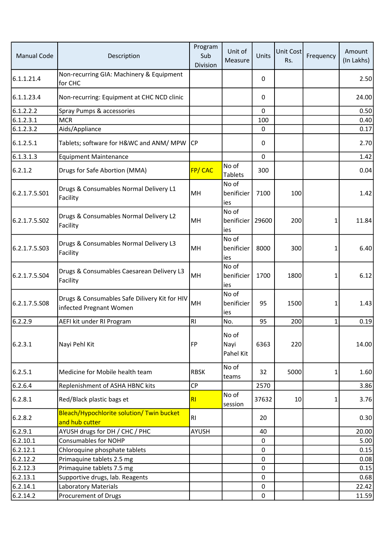| <b>Manual Code</b> | Description                                                              | Program<br>Sub<br>Division | Unit of<br>Measure         | Units    | <b>Unit Cost</b><br>Rs. | Frequency | Amount<br>(In Lakhs) |
|--------------------|--------------------------------------------------------------------------|----------------------------|----------------------------|----------|-------------------------|-----------|----------------------|
| 6.1.1.21.4         | Non-recurring GIA: Machinery & Equipment<br>for CHC                      |                            |                            | 0        |                         |           | 2.50                 |
| 6.1.1.23.4         | Non-recurring: Equipment at CHC NCD clinic                               |                            |                            | 0        |                         |           | 24.00                |
| 6.1.2.2.2          | Spray Pumps & accessories                                                |                            |                            | $\Omega$ |                         |           | 0.50                 |
| 6.1.2.3.1          | <b>MCR</b>                                                               |                            |                            | 100      |                         |           | 0.40                 |
| 6.1.2.3.2          | Aids/Appliance                                                           |                            |                            | 0        |                         |           | 0.17                 |
| 6.1.2.5.1          | Tablets; software for H&WC and ANM/ MPW                                  | ICP                        |                            | 0        |                         |           | 2.70                 |
| 6.1.3.1.3          | <b>Equipment Maintenance</b>                                             |                            |                            | 0        |                         |           | 1.42                 |
| 6.2.1.2            | Drugs for Safe Abortion (MMA)                                            | FP/CAC                     | No of<br><b>Tablets</b>    | 300      |                         |           | 0.04                 |
| 6.2.1.7.5.501      | Drugs & Consumables Normal Delivery L1<br>Facility                       | MH                         | No of<br>benificier<br>ies | 7100     | 100                     |           | 1.42                 |
| 6.2.1.7.5.S02      | Drugs & Consumables Normal Delivery L2<br>Facility                       | MH                         | No of<br>benificier<br>ies | 29600    | 200                     | 1         | 11.84                |
| 6.2.1.7.5.S03      | Drugs & Consumables Normal Delivery L3<br>Facility                       | MH                         | No of<br>benificier<br>ies | 8000     | 300                     | 1         | 6.40                 |
| 6.2.1.7.5.504      | Drugs & Consumables Caesarean Delivery L3<br>Facility                    | MH                         | No of<br>benificier<br>ies | 1700     | 1800                    | 1         | 6.12                 |
| 6.2.1.7.5.S08      | Drugs & Consumables Safe Dilivery Kit for HIV<br>infected Pregnant Women | MH                         | No of<br>benificier<br>ies | 95       | 1500                    | 1         | 1.43                 |
| 6.2.2.9            | AEFI kit under RI Program                                                | R <sub>l</sub>             | No.                        | 95       | 200                     | 1         | 0.19                 |
| 6.2.3.1            | Nayi Pehl Kit                                                            | FP                         | No of<br>Nayi<br>Pahel Kit | 6363     | 220                     |           | 14.00                |
| 6.2.5.1            | Medicine for Mobile health team                                          | <b>RBSK</b>                | No of<br>teams             | 32       | 5000                    | 1         | 1.60                 |
| 6.2.6.4            | Replenishment of ASHA HBNC kits                                          | <b>CP</b>                  |                            | 2570     |                         |           | 3.86                 |
| 6.2.8.1            | Red/Black plastic bags et                                                | R <sub>l</sub>             | No of<br>session           | 37632    | 10 <sup>1</sup>         | 1         | 3.76                 |
| 6.2.8.2            | Bleach/Hypochlorite solution/ Twin bucket<br>and hub cutter              | RI                         |                            | 20       |                         |           | 0.30                 |
| 6.2.9.1            | AYUSH drugs for DH / CHC / PHC                                           | AYUSH                      |                            | 40       |                         |           | 20.00                |
| 6.2.10.1           | <b>Consumables for NOHP</b>                                              |                            |                            | 0        |                         |           | 5.00                 |
| 6.2.12.1           | Chloroquine phosphate tablets                                            |                            |                            | 0        |                         |           | 0.15                 |
| 6.2.12.2           | Primaquine tablets 2.5 mg                                                |                            |                            | 0        |                         |           | 0.08                 |
| 6.2.12.3           | Primaquine tablets 7.5 mg                                                |                            |                            | 0        |                         |           | 0.15                 |
| 6.2.13.1           | Supportive drugs, lab. Reagents                                          |                            |                            | 0        |                         |           | 0.68                 |
| 6.2.14.1           | Laboratory Materials                                                     |                            |                            | 0        |                         |           | 22.42                |
| 6.2.14.2           | Procurement of Drugs                                                     |                            |                            | 0        |                         |           | 11.59                |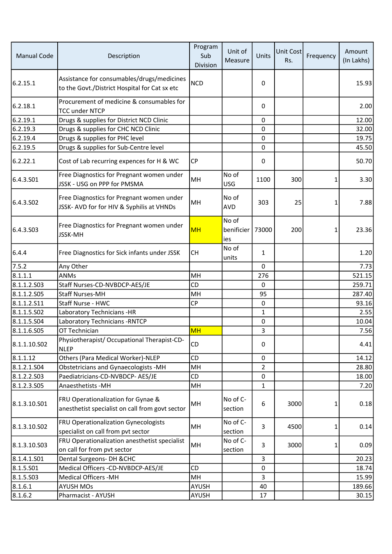| <b>Manual Code</b>    | Description                                                                                 | Program<br>Sub<br>Division | Unit of<br>Measure         | Units          | Unit Cost<br>Rs. | Frequency | Amount<br>(In Lakhs) |
|-----------------------|---------------------------------------------------------------------------------------------|----------------------------|----------------------------|----------------|------------------|-----------|----------------------|
| 6.2.15.1              | Assistance for consumables/drugs/medicines<br>to the Govt./District Hospital for Cat sx etc | <b>NCD</b>                 |                            | 0              |                  |           | 15.93                |
| 6.2.18.1              | Procurement of medicine & consumables for<br><b>TCC under NTCP</b>                          |                            |                            | 0              |                  |           | 2.00                 |
| 6.2.19.1              | Drugs & supplies for District NCD Clinic                                                    |                            |                            | 0              |                  |           | 12.00                |
| 6.2.19.3              | Drugs & supplies for CHC NCD Clinic                                                         |                            |                            | 0              |                  |           | 32.00                |
| 6.2.19.4              | Drugs & supplies for PHC level                                                              |                            |                            | 0              |                  |           | 19.75                |
| 6.2.19.5              | Drugs & supplies for Sub-Centre level                                                       |                            |                            | 0              |                  |           | 45.50                |
| 6.2.22.1              | Cost of Lab recurring expences for H & WC                                                   | CP                         |                            | 0              |                  |           | 50.70                |
| 6.4.3.S01             | Free Diagnostics for Pregnant women under<br>JSSK - USG on PPP for PMSMA                    | MH                         | No of<br><b>USG</b>        | 1100           | 300              | 1         | 3.30                 |
| 6.4.3.SO <sub>2</sub> | Free Diagnostics for Pregnant women under<br>JSSK- AVD for for HIV & Syphilis at VHNDs      | MH                         | No of<br><b>AVD</b>        | 303            | 25               | 1         | 7.88                 |
| 6.4.3.S03             | Free Diagnostics for Pregnant women under<br><b>JSSK-MH</b>                                 | <b>MH</b>                  | No of<br>benificier<br>ies | 73000          | 200              | 1         | 23.36                |
| 6.4.4                 | Free Diagnostics for Sick infants under JSSK                                                | <b>CH</b>                  | No of<br>units             | 1              |                  |           | 1.20                 |
| 7.5.2                 | Any Other                                                                                   |                            |                            | 0              |                  |           | 7.73                 |
| 8.1.1.1               | <b>ANMs</b>                                                                                 | MH                         |                            | 276            |                  |           | 521.15               |
| 8.1.1.2.503           | Staff Nurses-CD-NVBDCP-AES/JE                                                               | CD                         |                            | 0              |                  |           | 259.71               |
| 8.1.1.2.505           | <b>Staff Nurses-MH</b>                                                                      | MH                         |                            | 95             |                  |           | 287.40               |
| 8.1.1.2.511           | Staff Nurse - HWC                                                                           | CP                         |                            | 0              |                  |           | 93.16                |
| 8.1.1.5.502           | Laboratory Technicians -HR                                                                  |                            |                            | 1              |                  |           | 2.55                 |
| 8.1.1.5.504           | Laboratory Technicians - RNTCP                                                              |                            |                            | 0              |                  |           | 10.04                |
| 8.1.1.6.505           | OT Technician                                                                               | <b>MH</b>                  |                            | 3              |                  |           | 7.56                 |
| 8.1.1.10.S02          | Physiotherapist/ Occupational Therapist-CD-<br><b>NLEP</b>                                  | CD                         |                            | 0              |                  |           | 4.41                 |
| 8.1.1.12              | Others (Para Medical Worker)-NLEP                                                           | CD                         |                            | 0              |                  |           | 14.12                |
| 8.1.2.1.504           | <b>Obstetricians and Gynaecologists -MH</b>                                                 | MH                         |                            | $\overline{a}$ |                  |           | 28.80                |
| 8.1.2.2.503           | Paediatricians-CD-NVBDCP- AES/JE                                                            | CD                         |                            | 0              |                  |           | 18.00                |
| 8.1.2.3.505           | Anaesthetists -MH                                                                           | MH                         |                            | 1              |                  |           | 7.20                 |
| 8.1.3.10.501          | FRU Operationalization for Gynae &<br>anesthetist specialist on call from govt sector       | MH                         | No of C-<br>section        | 6              | 3000             | 1         | 0.18                 |
| 8.1.3.10.502          | FRU Operationalization Gynecologists<br>specialist on call from pvt sector                  | MH                         | No of C-<br>section        | 3              | 4500             | $1\vert$  | 0.14                 |
| 8.1.3.10.S03          | FRU Operationalization anesthetist specialist<br>on call for from pvt sector                | MH                         | No of C-<br>section        | 3              | 3000             | 1         | 0.09                 |
| 8.1.4.1.S01           | Dental Surgeons- DH & CHC                                                                   |                            |                            | 3              |                  |           | 20.23                |
| 8.1.5.501             | Medical Officers -CD-NVBDCP-AES/JE                                                          | <b>CD</b>                  |                            | 0              |                  |           | 18.74                |
| 8.1.5.503             | Medical Officers - MH                                                                       | MH                         |                            | 3              |                  |           | 15.99                |
| 8.1.6.1               | <b>AYUSH MOs</b>                                                                            | AYUSH                      |                            | 40             |                  |           | 189.66               |
| 8.1.6.2               | Pharmacist - AYUSH                                                                          | AYUSH                      |                            | 17             |                  |           | 30.15                |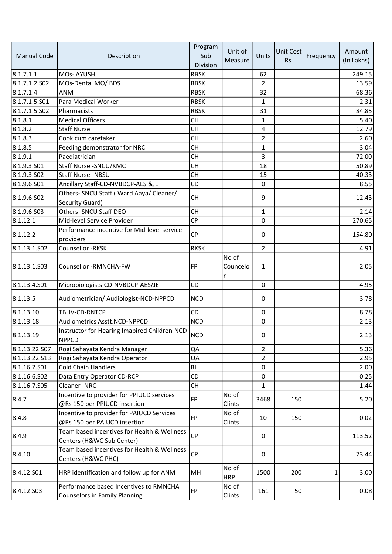|                    |                                                                         | Program     | Unit of             |                | Unit Cost |           | Amount     |
|--------------------|-------------------------------------------------------------------------|-------------|---------------------|----------------|-----------|-----------|------------|
| <b>Manual Code</b> | Description                                                             | Sub         | Measure             | Units          | Rs.       | Frequency | (In Lakhs) |
|                    |                                                                         | Division    |                     |                |           |           |            |
| 8.1.7.1.1          | MOs-AYUSH                                                               | <b>RBSK</b> |                     | 62             |           |           | 249.15     |
| 8.1.7.1.2.502      | MOs-Dental MO/ BDS                                                      | <b>RBSK</b> |                     | $\overline{2}$ |           |           | 13.59      |
| 8.1.7.1.4          | <b>ANM</b>                                                              | <b>RBSK</b> |                     | 32             |           |           | 68.36      |
| 8.1.7.1.5.S01      | Para Medical Worker                                                     | <b>RBSK</b> |                     | 1              |           |           | 2.31       |
| 8.1.7.1.5.S02      | Pharmacists                                                             | <b>RBSK</b> |                     | 31             |           |           | 84.85      |
| 8.1.8.1            | <b>Medical Officers</b>                                                 | <b>CH</b>   |                     | $\mathbf{1}$   |           |           | 5.40       |
| 8.1.8.2            | <b>Staff Nurse</b>                                                      | <b>CH</b>   |                     | 4              |           |           | 12.79      |
| 8.1.8.3            | Cook cum caretaker                                                      | <b>CH</b>   |                     | $\overline{2}$ |           |           | 2.60       |
| 8.1.8.5            | Feeding demonstrator for NRC                                            | <b>CH</b>   |                     | $\mathbf{1}$   |           |           | 3.04       |
| 8.1.9.1            | Paediatrician                                                           | <b>CH</b>   |                     | 3              |           |           | 72.00      |
| 8.1.9.3.501        | Staff Nurse - SNCU/KMC                                                  | <b>CH</b>   |                     | 18             |           |           | 50.89      |
| 8.1.9.3.502        | Staff Nurse -NBSU                                                       | <b>CH</b>   |                     | 15             |           |           | 40.33      |
| 8.1.9.6.S01        | Ancillary Staff-CD-NVBDCP-AES &JE                                       | CD          |                     | 0              |           |           | 8.55       |
| 8.1.9.6.S02        | Others- SNCU Staff (Ward Aaya/ Cleaner/                                 | <b>CH</b>   |                     | 9              |           |           | 12.43      |
|                    | Security Guard)                                                         |             |                     |                |           |           |            |
| 8.1.9.6.S03        | Others- SNCU Staff DEO                                                  | <b>CH</b>   |                     | $\mathbf{1}$   |           |           | 2.14       |
| 8.1.12.1           | Mid-level Service Provider                                              | <b>CP</b>   |                     | 0              |           |           | 270.65     |
| 8.1.12.2           | Performance incentive for Mid-level service                             | <b>CP</b>   |                     | 0              |           |           | 154.80     |
|                    | providers                                                               |             |                     |                |           |           |            |
| 8.1.13.1.502       | Counsellor - RKSK                                                       | <b>RKSK</b> |                     | $\overline{2}$ |           |           | 4.91       |
|                    |                                                                         |             | No of               |                |           |           |            |
| 8.1.13.1.503       | Counsellor -RMNCHA-FW                                                   | <b>FP</b>   | Councelo            | $\mathbf{1}$   |           |           | 2.05       |
|                    |                                                                         |             | r                   |                |           |           |            |
| 8.1.13.4.501       | Microbiologists-CD-NVBDCP-AES/JE                                        | CD          |                     | $\Omega$       |           |           | 4.95       |
| 8.1.13.5           | Audiometrician/ Audiologist-NCD-NPPCD                                   | <b>NCD</b>  |                     | 0              |           |           | 3.78       |
| 8.1.13.10          | TBHV-CD-RNTCP                                                           | <b>CD</b>   |                     | 0              |           |           | 8.78       |
| 8.1.13.18          | <b>Audiometrics Asstt.NCD-NPPCD</b>                                     | <b>NCD</b>  |                     | 0              |           |           | 2.13       |
| 8.1.13.19          | Instructor for Hearing Imapired Children-NCD-<br><b>NPPCD</b>           | <b>NCD</b>  |                     | 0              |           |           | 2.13       |
| 8.1.13.22.507      | Rogi Sahayata Kendra Manager                                            | QA          |                     | $\overline{2}$ |           |           | 5.36       |
| 8.1.13.22.S13      | Rogi Sahayata Kendra Operator                                           | QA          |                     | $\overline{2}$ |           |           | 2.95       |
| 8.1.16.2.501       | <b>Cold Chain Handlers</b>                                              | <b>RI</b>   |                     | 0              |           |           | 2.00       |
| 8.1.16.6.S02       | Data Entry Operator CD-RCP                                              | CD          |                     | 0              |           |           | 0.25       |
| 8.1.16.7.S05       | Cleaner-NRC                                                             | CH          |                     | 1              |           |           | 1.44       |
|                    | Incentive to provider for PPIUCD services                               |             | No of               |                |           |           |            |
| 8.4.7              | @Rs 150 per PPIUCD insertion                                            | <b>FP</b>   | Clints              | 3468           | 150       |           | 5.20       |
|                    | Incentive to provider for PAIUCD Services                               |             | No of               |                |           |           |            |
| 8.4.8              | @Rs 150 per PAIUCD insertion                                            | <b>FP</b>   | Clints              | 10             | 150       |           | 0.02       |
|                    | Team based incentives for Health & Wellness                             |             |                     |                |           |           |            |
| 8.4.9              | Centers (H&WC Sub Center)                                               | CP          |                     | 0              |           |           | 113.52     |
|                    | Team based incentives for Health & Wellness                             | <b>CP</b>   |                     |                |           |           |            |
| 8.4.10             | Centers (H&WC PHC)                                                      |             |                     | 0              |           |           | 73.44      |
| 8.4.12.501         | HRP identification and follow up for ANM                                | MH          | No of<br><b>HRP</b> | 1500           | 200       | 1         | 3.00       |
| 8.4.12.503         | Performance based Incentives to RMNCHA<br>Counselors in Family Planning | FP          | No of<br>Clints     | 161            | 50        |           | 0.08       |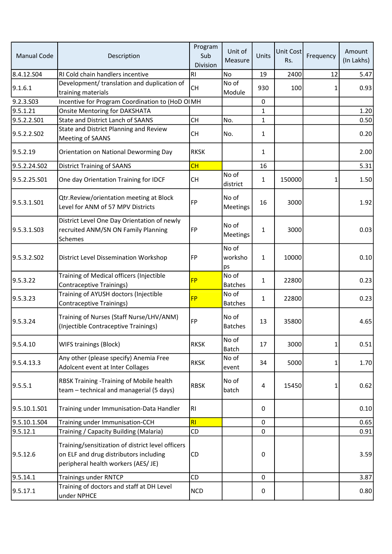| <b>Manual Code</b> | Description                                                                                                                        | Program<br>Sub<br>Division | Unit of<br>Measure      | Units        | <b>Unit Cost</b><br>Rs. | Frequency | Amount<br>(In Lakhs) |
|--------------------|------------------------------------------------------------------------------------------------------------------------------------|----------------------------|-------------------------|--------------|-------------------------|-----------|----------------------|
| 8.4.12.S04         | RI Cold chain handlers incentive                                                                                                   | <b>RI</b>                  | No                      | 19           | 2400                    | 12        | 5.47                 |
| 9.1.6.1            | Development/ translation and duplication of<br>training materials                                                                  | <b>CH</b>                  | No of<br>Module         | 930          | 100                     |           | 0.93                 |
| 9.2.3.S03          | Incentive for Program Coordination to (HoD OIMH                                                                                    |                            |                         | 0            |                         |           |                      |
| 9.5.1.21           | <b>Onsite Mentoring for DAKSHATA</b>                                                                                               |                            |                         | 1            |                         |           | 1.20                 |
| 9.5.2.2.S01        | State and District Lanch of SAANS                                                                                                  | <b>CH</b>                  | No.                     | 1            |                         |           | 0.50                 |
| 9.5.2.2.S02        | State and District Planning and Review<br>Meeting of SAANS                                                                         | <b>CH</b>                  | No.                     | 1            |                         |           | 0.20                 |
| 9.5.2.19           | Orientation on National Deworming Day                                                                                              | <b>RKSK</b>                |                         | $\mathbf{1}$ |                         |           | 2.00                 |
| 9.5.2.24.502       | <b>District Training of SAANS</b>                                                                                                  | CH                         |                         | 16           |                         |           | 5.31                 |
| 9.5.2.25.S01       | One day Orientation Training for IDCF                                                                                              | <b>CH</b>                  | No of<br>district       | $\mathbf{1}$ | 150000                  |           | 1.50                 |
| 9.5.3.1.S01        | Qtr.Review/orientation meeting at Block<br>Level for ANM of 57 MPV Districts                                                       | FP                         | No of<br>Meetings       | 16           | 3000                    |           | 1.92                 |
| 9.5.3.1.S03        | District Level One Day Orientation of newly<br>recruited ANM/SN ON Family Planning<br>Schemes                                      | FP                         | No of<br>Meetings       | $\mathbf{1}$ | 3000                    |           | 0.03                 |
| 9.5.3.2.SO2        | District Level Dissemination Workshop                                                                                              | FP                         | No of<br>worksho<br>ps  | $\mathbf{1}$ | 10000                   |           | 0.10                 |
| 9.5.3.22           | Training of Medical officers (Injectible<br><b>Contraceptive Trainings)</b>                                                        | <b>FP</b>                  | No of<br><b>Batches</b> | $\mathbf{1}$ | 22800                   |           | 0.23                 |
| 9.5.3.23           | Training of AYUSH doctors (Injectible<br>Contraceptive Trainings)                                                                  | <b>FP</b>                  | No of<br><b>Batches</b> | 1            | 22800                   |           | 0.23                 |
| 9.5.3.24           | Training of Nurses (Staff Nurse/LHV/ANM)<br>(Injectible Contraceptive Trainings)                                                   | FP                         | No of<br><b>Batches</b> | 13           | 35800                   |           | 4.65                 |
| 9.5.4.10           | <b>WIFS trainings (Block)</b>                                                                                                      | <b>RKSK</b>                | No of<br><b>Batch</b>   | 17           | 3000                    | 1         | 0.51                 |
| 9.5.4.13.3         | Any other (please specify) Anemia Free<br>Adolcent event at Inter Collages                                                         | <b>RKSK</b>                | No of<br>event          | 34           | 5000                    | 1         | 1.70                 |
| 9.5.5.1            | RBSK Training - Training of Mobile health<br>team - technical and managerial (5 days)                                              | <b>RBSK</b>                | No of<br>batch          | 4            | 15450                   | 1         | 0.62                 |
| 9.5.10.1.S01       | Training under Immunisation-Data Handler                                                                                           | RI                         |                         | 0            |                         |           | 0.10                 |
| 9.5.10.1.S04       | Training under Immunisation-CCH                                                                                                    | RI                         |                         | 0            |                         |           | 0.65                 |
| 9.5.12.1           | Training / Capacity Building (Malaria)                                                                                             | CD                         |                         | 0            |                         |           | 0.91                 |
| 9.5.12.6           | Training/sensitization of district level officers<br>on ELF and drug distributors including<br>peripheral health workers (AES/ JE) | <b>CD</b>                  |                         | 0            |                         |           | 3.59                 |
| 9.5.14.1           | <b>Trainings under RNTCP</b>                                                                                                       | <b>CD</b>                  |                         | $\mathbf 0$  |                         |           | 3.87                 |
| 9.5.17.1           | Training of doctors and staff at DH Level<br>under NPHCE                                                                           | <b>NCD</b>                 |                         | 0            |                         |           | 0.80                 |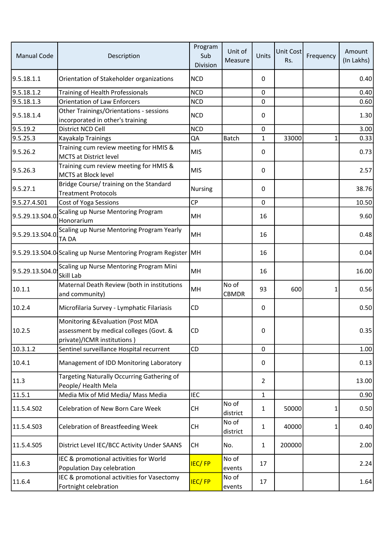| <b>Manual Code</b> | Description                                                                                                 | Program<br>Sub<br>Division | Unit of<br>Measure    | Units          | Unit Cost<br>Rs. | Frequency | Amount<br>(In Lakhs) |
|--------------------|-------------------------------------------------------------------------------------------------------------|----------------------------|-----------------------|----------------|------------------|-----------|----------------------|
| 9.5.18.1.1         | Orientation of Stakeholder organizations                                                                    | <b>NCD</b>                 |                       | 0              |                  |           | 0.40                 |
| 9.5.18.1.2         | Training of Health Professionals                                                                            | <b>NCD</b>                 |                       | 0              |                  |           | 0.40                 |
| 9.5.18.1.3         | <b>Orientation of Law Enforcers</b>                                                                         | <b>NCD</b>                 |                       | $\mathbf 0$    |                  |           | 0.60                 |
| 9.5.18.1.4         | Other Trainings/Orientations - sessions<br>incorporated in other's training                                 | <b>NCD</b>                 |                       | 0              |                  |           | 1.30                 |
| 9.5.19.2           | District NCD Cell                                                                                           | <b>NCD</b>                 |                       | 0              |                  |           | 3.00                 |
| 9.5.25.3           | Kayakalp Trainings                                                                                          | QA                         | <b>Batch</b>          | $\mathbf{1}$   | 33000            | 1         | 0.33                 |
| 9.5.26.2           | Training cum review meeting for HMIS &<br><b>MCTS at District level</b>                                     | <b>MIS</b>                 |                       | 0              |                  |           | 0.73                 |
| 9.5.26.3           | Training cum review meeting for HMIS &<br><b>MCTS at Block level</b>                                        | <b>MIS</b>                 |                       | 0              |                  |           | 2.57                 |
| 9.5.27.1           | Bridge Course/ training on the Standard<br><b>Treatment Protocols</b>                                       | Nursing                    |                       | 0              |                  |           | 38.76                |
| 9.5.27.4.S01       | Cost of Yoga Sessions                                                                                       | <b>CP</b>                  |                       | $\mathbf 0$    |                  |           | 10.50                |
| 9.5.29.13.504.0    | Scaling up Nurse Mentoring Program<br>Honorarium                                                            | MH                         |                       | 16             |                  |           | 9.60                 |
| 9.5.29.13.504.0    | Scaling up Nurse Mentoring Program Yearly<br>TA DA                                                          | MH                         |                       | 16             |                  |           | 0.48                 |
|                    | 9.5.29.13.504.0 Scaling up Nurse Mentoring Program Register MH                                              |                            |                       | 16             |                  |           | 0.04                 |
| 9.5.29.13.504.0    | Scaling up Nurse Mentoring Program Mini<br>Skill Lab                                                        | MH                         |                       | 16             |                  |           | 16.00                |
| 10.1.1             | Maternal Death Review (both in institutions<br>and community)                                               | MH                         | No of<br><b>CBMDR</b> | 93             | 600              |           | 0.56                 |
| 10.2.4             | Microfilaria Survey - Lymphatic Filariasis                                                                  | <b>CD</b>                  |                       | 0              |                  |           | 0.50                 |
| 10.2.5             | Monitoring & Evaluation (Post MDA<br>assessment by medical colleges (Govt. &<br>private)/ICMR institutions) | CD                         |                       | 0              |                  |           | 0.35                 |
| 10.3.1.2           | Sentinel surveillance Hospital recurrent                                                                    | CD                         |                       | 0              |                  |           | 1.00                 |
| 10.4.1             | Management of IDD Monitoring Laboratory                                                                     |                            |                       | 0              |                  |           | 0.13                 |
| 11.3               | Targeting Naturally Occurring Gathering of<br>People/ Health Mela                                           |                            |                       | $\overline{2}$ |                  |           | 13.00                |
| 11.5.1             | Media Mix of Mid Media/ Mass Media                                                                          | <b>IEC</b>                 |                       | $\mathbf{1}$   |                  |           | 0.90                 |
| 11.5.4.S02         | Celebration of New Born Care Week                                                                           | <b>CH</b>                  | No of<br>district     | $\mathbf{1}$   | 50000            |           | 0.50                 |
| 11.5.4.S03         | <b>Celebration of Breastfeeding Week</b>                                                                    | <b>CH</b>                  | No of<br>district     | $\mathbf{1}$   | 40000            | 1         | 0.40                 |
| 11.5.4.S05         | District Level IEC/BCC Activity Under SAANS                                                                 | <b>CH</b>                  | No.                   | $\mathbf{1}$   | 200000           |           | 2.00                 |
| 11.6.3             | IEC & promotional activities for World<br>Population Day celebration                                        | <b>IEC/FP</b>              | No of<br>events       | 17             |                  |           | 2.24                 |
| 11.6.4             | IEC & promotional activities for Vasectomy<br>Fortnight celebration                                         | <b>IEC/FP</b>              | No of<br>events       | 17             |                  |           | 1.64                 |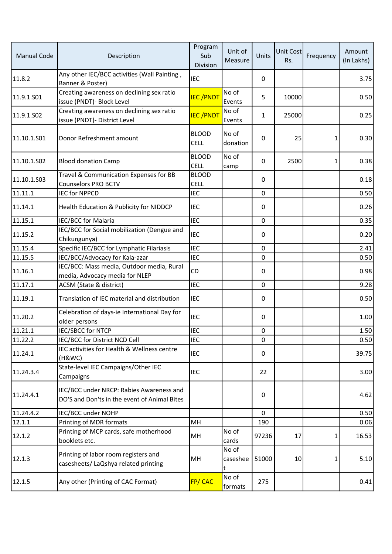| <b>Manual Code</b>     | Description                                                                              | Program<br>Sub<br>Division  | Unit of<br>Measure     | Units        | <b>Unit Cost</b><br>Rs. | Frequency    | Amount<br>(In Lakhs) |
|------------------------|------------------------------------------------------------------------------------------|-----------------------------|------------------------|--------------|-------------------------|--------------|----------------------|
| 11.8.2                 | Any other IEC/BCC activities (Wall Painting,<br>Banner & Poster)                         | <b>IEC</b>                  |                        | 0            |                         |              | 3.75                 |
| 11.9.1.S01             | Creating awareness on declining sex ratio<br>issue (PNDT)- Block Level                   | <b>IEC/PNDT</b>             | No of<br>Events        | 5            | 10000                   |              | 0.50                 |
| 11.9.1.SO <sub>2</sub> | Creating awareness on declining sex ratio<br>issue (PNDT)- District Level                | <b>IEC/PNDT</b>             | No of<br>Events        | $\mathbf{1}$ | 25000                   |              | 0.25                 |
| 11.10.1.501            | Donor Refreshment amount                                                                 | <b>BLOOD</b><br><b>CELL</b> | No of<br>donation      | $\Omega$     | 25                      | 1            | 0.30                 |
| 11.10.1.502            | <b>Blood donation Camp</b>                                                               | <b>BLOOD</b><br><b>CELL</b> | No of<br>camp          | 0            | 2500                    | $\mathbf{1}$ | 0.38                 |
| 11.10.1.503            | Travel & Communication Expenses for BB<br>Counselors PRO BCTV                            | <b>BLOOD</b><br><b>CELL</b> |                        | 0            |                         |              | 0.18                 |
| 11.11.1                | <b>IEC for NPPCD</b>                                                                     | <b>IEC</b>                  |                        | 0            |                         |              | 0.50                 |
| 11.14.1                | Health Education & Publicity for NIDDCP                                                  | <b>IEC</b>                  |                        | 0            |                         |              | 0.26                 |
| 11.15.1                | IEC/BCC for Malaria                                                                      | <b>IEC</b>                  |                        | 0            |                         |              | 0.35                 |
| 11.15.2                | IEC/BCC for Social mobilization (Dengue and<br>Chikungunya)                              | <b>IEC</b>                  |                        | 0            |                         |              | 0.20                 |
| 11.15.4                | Specific IEC/BCC for Lymphatic Filariasis                                                | <b>IEC</b>                  |                        | 0            |                         |              | 2.41                 |
| 11.15.5                | IEC/BCC/Advocacy for Kala-azar                                                           | <b>IEC</b>                  |                        | 0            |                         |              | 0.50                 |
| 11.16.1                | IEC/BCC: Mass media, Outdoor media, Rural<br>media, Advocacy media for NLEP              | <b>CD</b>                   |                        | 0            |                         |              | 0.98                 |
| 11.17.1                | ACSM (State & district)                                                                  | <b>IEC</b>                  |                        | 0            |                         |              | 9.28                 |
| 11.19.1                | Translation of IEC material and distribution                                             | <b>IEC</b>                  |                        | 0            |                         |              | 0.50                 |
| 11.20.2                | Celebration of days-ie International Day for<br>older persons                            | <b>IEC</b>                  |                        | 0            |                         |              | 1.00                 |
| 11.21.1                | <b>IEC/SBCC for NTCP</b>                                                                 | <b>IEC</b>                  |                        | $\mathsf 0$  |                         |              | 1.50                 |
| 11.22.2                | IEC/BCC for District NCD Cell                                                            | <b>IEC</b>                  |                        | 0            |                         |              | 0.50                 |
| 11.24.1                | IEC activities for Health & Wellness centre<br>(H&WC)                                    | <b>IEC</b>                  |                        | 0            |                         |              | 39.75                |
| 11.24.3.4              | State-level IEC Campaigns/Other IEC<br>Campaigns                                         | <b>IEC</b>                  |                        | 22           |                         |              | 3.00                 |
| 11.24.4.1              | IEC/BCC under NRCP: Rabies Awareness and<br>DO'S and Don'ts in the event of Animal Bites |                             |                        | 0            |                         |              | 4.62                 |
| 11.24.4.2              | IEC/BCC under NOHP                                                                       |                             |                        | $\Omega$     |                         |              | 0.50                 |
| 12.1.1                 | Printing of MDR formats                                                                  | MH                          |                        | 190          |                         |              | 0.06                 |
| 12.1.2                 | Printing of MCP cards, safe motherhood<br>booklets etc.                                  | MH                          | No of<br>cards         | 97236        | 17                      | 1            | 16.53                |
| 12.1.3                 | Printing of labor room registers and<br>casesheets/ LaQshya related printing             | MH                          | No of<br>caseshee<br>t | 51000        | 10                      | 1            | 5.10                 |
| 12.1.5                 | Any other (Printing of CAC Format)                                                       | <b>FP/CAC</b>               | No of<br>formats       | 275          |                         |              | 0.41                 |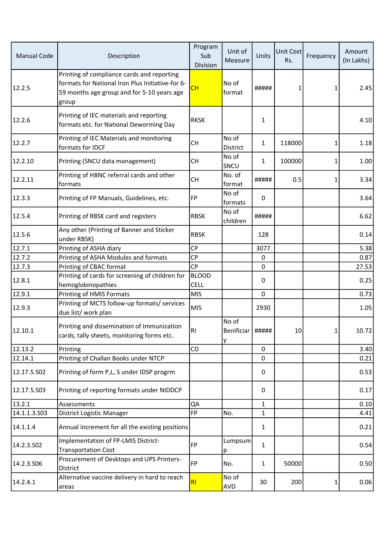| <b>Manual Code</b> | Description                                                                                                                                           | Program<br>Sub<br>Division  | Unit of<br>Measure             | Units        | <b>Unit Cost</b><br>Rs. | Frequency | Amount<br>(In Lakhs) |
|--------------------|-------------------------------------------------------------------------------------------------------------------------------------------------------|-----------------------------|--------------------------------|--------------|-------------------------|-----------|----------------------|
| 12.2.5             | Printing of compliance cards and reporting<br>formats for National Iron Plus Initiative-for 6-<br>59 months age group and for 5-10 years age<br>group | <b>CH</b>                   | No of<br>format                | #####        | 1                       | 1         | 2.45                 |
| 12.2.6             | Printing of IEC materials and reporting<br>formats etc. for National Deworming Day                                                                    | <b>RKSK</b>                 |                                | 1            |                         |           | 4.10                 |
| 12.2.7             | Printing of IEC Materials and monitoring<br>formats for IDCF                                                                                          | <b>CH</b>                   | No of<br>District              | $\mathbf{1}$ | 118000                  | 1         | 1.18                 |
| 12.2.10            | Printing (SNCU data management)                                                                                                                       | <b>CH</b>                   | No of<br>SNCU                  | $\mathbf{1}$ | 100000                  | 1         | 1.00                 |
| 12.2.11            | Printing of HBNC referral cards and other<br>formats                                                                                                  | <b>CH</b>                   | No. of<br>format               | #####        | 0.5                     | 1         | 3.34                 |
| 12.3.3             | Printing of FP Manuals, Guidelines, etc.                                                                                                              | FP                          | No of<br>formats               | 0            |                         |           | 3.64                 |
| 12.5.4             | Printing of RBSK card and registers                                                                                                                   | <b>RBSK</b>                 | No of<br>children              | #####        |                         |           | 6.62                 |
| 12.5.6             | Any other (Printing of Banner and Sticker<br>under RBSK)                                                                                              | <b>RBSK</b>                 |                                | 128          |                         |           | 0.14                 |
| 12.7.1             | Printing of ASHA diary                                                                                                                                | <b>CP</b>                   |                                | 3077         |                         |           | 5.38                 |
| 12.7.2             | Printing of ASHA Modules and formats                                                                                                                  | <b>CP</b>                   |                                | 0            |                         |           | 0.87                 |
| 12.7.3             | Printing of CBAC format                                                                                                                               | <b>CP</b>                   |                                | 0            |                         |           | 27.53                |
| 12.8.1             | Printing of cards for screening of children for<br>hemoglobinopathies                                                                                 | <b>BLOOD</b><br><b>CELL</b> |                                | 0            |                         |           | 0.25                 |
| 12.9.1             | Printing of HMIS Formats                                                                                                                              | <b>MIS</b>                  |                                | 0            |                         |           | 0.73                 |
| 12.9.3             | Printing of MCTS follow-up formats/ services<br>due list/ work plan                                                                                   | MIS                         |                                | 2930         |                         |           | 1.05                 |
| 12.10.1            | Printing and dissemination of Immunization<br>cards, tally sheets, monitoring forms etc.                                                              | RI                          | No of<br>Benificiar #####<br>у |              | 10                      | 1         | 10.72                |
| 12.13.2            | Printing                                                                                                                                              | <b>CD</b>                   |                                | 0            |                         |           | 3.40                 |
| 12.14.1            | Printing of Challan Books under NTCP                                                                                                                  |                             |                                | 0            |                         |           | 0.21                 |
| 12.17.5.502        | Printing of form P,L, S under IDSP progrm                                                                                                             |                             |                                | 0            |                         |           | 0.53                 |
| 12.17.5.503        | Printing of reporting formats under NIDDCP                                                                                                            |                             |                                | 0            |                         |           | 0.17                 |
| 13.2.1             | Assessments                                                                                                                                           | QA                          |                                | $\mathbf{1}$ |                         |           | 0.10                 |
| 14.1.1.3.503       | District Logistic Manager                                                                                                                             | <b>FP</b>                   | No.                            | $\mathbf{1}$ |                         |           | 4.41                 |
| 14.1.1.4           | Annual increment for all the existing positions                                                                                                       |                             |                                | $\mathbf{1}$ |                         |           | 0.21                 |
| 14.2.3.502         | Implementation of FP-LMIS District-<br><b>Transportation Cost</b>                                                                                     | <b>FP</b>                   | Lumpsum<br>р                   | $\mathbf{1}$ |                         |           | 0.54                 |
| 14.2.3.506         | Procurement of Desktops and UPS Printers-<br>District                                                                                                 | FP                          | No.                            | $\mathbf{1}$ | 50000                   |           | 0.50                 |
| 14.2.4.1           | Alternative vaccine delivery in hard to reach<br>areas                                                                                                | R <sub>l</sub>              | No of<br>AVD                   | 30           | 200                     | 1         | 0.06                 |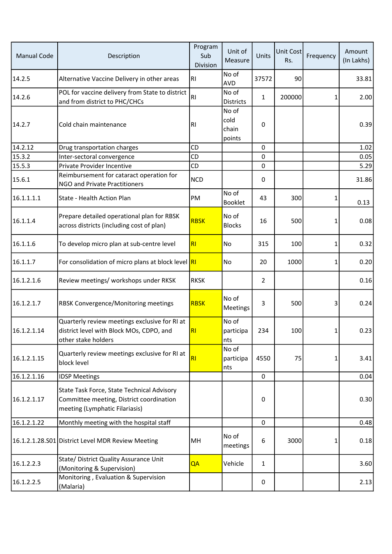| <b>Manual Code</b> | Description                                                                                                              | Program<br>Sub<br>Division | Unit of<br>Measure               | Units          | <b>Unit Cost</b><br>Rs. | Frequency | Amount<br>(In Lakhs) |
|--------------------|--------------------------------------------------------------------------------------------------------------------------|----------------------------|----------------------------------|----------------|-------------------------|-----------|----------------------|
| 14.2.5             | Alternative Vaccine Delivery in other areas                                                                              | RI                         | No of<br><b>AVD</b>              | 37572          | 90                      |           | 33.81                |
| 14.2.6             | POL for vaccine delivery from State to district<br>and from district to PHC/CHCs                                         | RI                         | No of<br><b>Districts</b>        | $\mathbf{1}$   | 200000                  | 1         | 2.00                 |
| 14.2.7             | Cold chain maintenance                                                                                                   | <b>RI</b>                  | No of<br>cold<br>chain<br>points | 0              |                         |           | 0.39                 |
| 14.2.12            | Drug transportation charges                                                                                              | CD                         |                                  | 0              |                         |           | 1.02                 |
| 15.3.2             | Inter-sectoral convergence                                                                                               | CD                         |                                  | 0              |                         |           | 0.05                 |
| 15.5.3             | Private Provider Incentive                                                                                               | CD                         |                                  | 0              |                         |           | 5.29                 |
| 15.6.1             | Reimbursement for cataract operation for<br>NGO and Private Practitioners                                                | <b>NCD</b>                 |                                  | 0              |                         |           | 31.86                |
| 16.1.1.1.1         | State - Health Action Plan                                                                                               | PM                         | No of<br><b>Booklet</b>          | 43             | 300                     |           | 0.13                 |
| 16.1.1.4           | Prepare detailed operational plan for RBSK<br>across districts (including cost of plan)                                  | <b>RBSK</b>                | No of<br><b>Blocks</b>           | 16             | 500                     |           | 0.08                 |
| 16.1.1.6           | To develop micro plan at sub-centre level                                                                                | RI                         | No                               | 315            | 100                     |           | 0.32                 |
| 16.1.1.7           | For consolidation of micro plans at block level RI                                                                       |                            | No                               | 20             | 1000                    | 1         | 0.20                 |
| 16.1.2.1.6         | Review meetings/ workshops under RKSK                                                                                    | <b>RKSK</b>                |                                  | $\overline{2}$ |                         |           | 0.16                 |
| 16.1.2.1.7         | RBSK Convergence/Monitoring meetings                                                                                     | <b>RBSK</b>                | No of<br><b>Meetings</b>         | 3              | 500                     | 3         | 0.24                 |
| 16.1.2.1.14        | Quarterly review meetings exclusive for RI at<br>district level with Block MOs, CDPO, and<br>other stake holders         | R <sub>l</sub>             | No of<br>participa<br>nts        | 234            | 100                     | 1         | 0.23                 |
| 16.1.2.1.15        | Quarterly review meetings exclusive for RI at<br>block level                                                             | RI                         | No of<br>participa<br>nts        | 4550           | 75                      |           | 3.41                 |
| 16.1.2.1.16        | <b>IDSP Meetings</b>                                                                                                     |                            |                                  | $\mathsf 0$    |                         |           | 0.04                 |
| 16.1.2.1.17        | State Task Force, State Technical Advisory<br>Committee meeting, District coordination<br>meeting (Lymphatic Filariasis) |                            |                                  | 0              |                         |           | 0.30                 |
| 16.1.2.1.22        | Monthly meeting with the hospital staff                                                                                  |                            |                                  | 0              |                         |           | 0.48                 |
|                    | 16.1.2.1.28.S01 District Level MDR Review Meeting                                                                        | MH                         | No of<br>meetings                | 6              | 3000                    | 1         | 0.18                 |
| 16.1.2.2.3         | State/ District Quality Assurance Unit<br>(Monitoring & Supervision)                                                     | QA                         | Vehicle                          | $\mathbf{1}$   |                         |           | 3.60                 |
| 16.1.2.2.5         | Monitoring, Evaluation & Supervision<br>(Malaria)                                                                        |                            |                                  | 0              |                         |           | 2.13                 |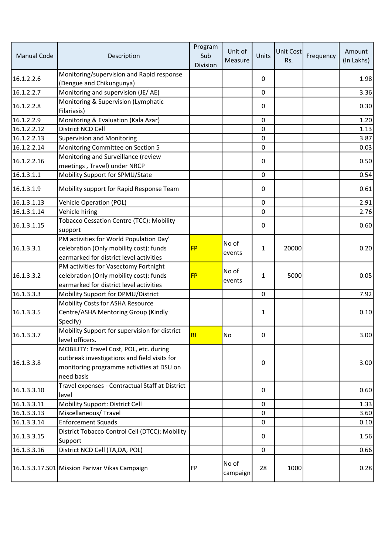| Manual Code | Description                                                                                                                                        | Program<br>Sub<br>Division | Unit of<br>Measure | Units               | <b>Unit Cost</b><br>Rs. | Frequency | Amount<br>(In Lakhs) |
|-------------|----------------------------------------------------------------------------------------------------------------------------------------------------|----------------------------|--------------------|---------------------|-------------------------|-----------|----------------------|
| 16.1.2.2.6  | Monitoring/supervision and Rapid response<br>(Dengue and Chikungunya)                                                                              |                            |                    | 0                   |                         |           | 1.98                 |
| 16.1.2.2.7  | Monitoring and supervision (JE/AE)                                                                                                                 |                            |                    | $\mathbf 0$         |                         |           | 3.36                 |
| 16.1.2.2.8  | Monitoring & Supervision (Lymphatic<br>Filariasis)                                                                                                 |                            |                    | 0                   |                         |           | 0.30                 |
| 16.1.2.2.9  | Monitoring & Evaluation (Kala Azar)                                                                                                                |                            |                    | $\mathsf 0$         |                         |           | 1.20                 |
| 16.1.2.2.12 | District NCD Cell                                                                                                                                  |                            |                    | 0                   |                         |           | 1.13                 |
| 16.1.2.2.13 | <b>Supervision and Monitoring</b>                                                                                                                  |                            |                    | 0                   |                         |           | 3.87                 |
| 16.1.2.2.14 | Monitoring Committee on Section 5                                                                                                                  |                            |                    | 0                   |                         |           | 0.03                 |
| 16.1.2.2.16 | Monitoring and Surveillance (review<br>meetings, Travel) under NRCP                                                                                |                            |                    | 0                   |                         |           | 0.50                 |
| 16.1.3.1.1  | Mobility Support for SPMU/State                                                                                                                    |                            |                    | $\mathbf 0$         |                         |           | 0.54                 |
| 16.1.3.1.9  | Mobility support for Rapid Response Team                                                                                                           |                            |                    | 0                   |                         |           | 0.61                 |
| 16.1.3.1.13 | <b>Vehicle Operation (POL)</b>                                                                                                                     |                            |                    | $\mathbf 0$         |                         |           | 2.91                 |
| 16.1.3.1.14 | Vehicle hiring                                                                                                                                     |                            |                    | 0                   |                         |           | 2.76                 |
|             | Tobacco Cessation Centre (TCC): Mobility                                                                                                           |                            |                    |                     |                         |           |                      |
| 16.1.3.1.15 | support                                                                                                                                            |                            |                    | 0                   |                         |           | 0.60                 |
| 16.1.3.3.1  | PM activities for World Population Day'<br>celebration (Only mobility cost): funds<br>earmarked for district level activities                      | <b>FP</b>                  | No of<br>events    | 1                   | 20000                   |           | 0.20                 |
| 16.1.3.3.2  | PM activities for Vasectomy Fortnight<br>celebration (Only mobility cost): funds<br>earmarked for district level activities                        | <b>FP</b>                  | No of<br>events    | $\mathbf{1}$        | 5000                    |           | 0.05                 |
| 16.1.3.3.3  | Mobility Support for DPMU/District                                                                                                                 |                            |                    | $\mathsf{O}\xspace$ |                         |           | 7.92                 |
| 16.1.3.3.5  | Mobility Costs for ASHA Resource<br>Centre/ASHA Mentoring Group (Kindly<br>Specify)                                                                |                            |                    | $\mathbf{1}$        |                         |           | 0.10                 |
| 16.1.3.3.7  | Mobility Support for supervision for district<br>level officers.                                                                                   | R1                         | No                 | 0                   |                         |           | 3.00                 |
| 16.1.3.3.8  | MOBILITY: Travel Cost, POL, etc. during<br>outbreak investigations and field visits for<br>monitoring programme activities at DSU on<br>need basis |                            |                    | 0                   |                         |           | 3.00                 |
| 16.1.3.3.10 | Travel expenses - Contractual Staff at District<br>level                                                                                           |                            |                    | 0                   |                         |           | 0.60                 |
| 16.1.3.3.11 | Mobility Support: District Cell                                                                                                                    |                            |                    | $\mathbf 0$         |                         |           | 1.33                 |
| 16.1.3.3.13 | Miscellaneous/ Travel                                                                                                                              |                            |                    | 0                   |                         |           | 3.60                 |
| 16.1.3.3.14 | <b>Enforcement Squads</b>                                                                                                                          |                            |                    | 0                   |                         |           | 0.10                 |
| 16.1.3.3.15 | District Tobacco Control Cell (DTCC): Mobility<br>Support                                                                                          |                            |                    | 0                   |                         |           | 1.56                 |
| 16.1.3.3.16 | District NCD Cell (TA, DA, POL)                                                                                                                    |                            |                    | $\mathbf 0$         |                         |           | 0.66                 |
|             | 16.1.3.3.17.S01 Mission Parivar Vikas Campaign                                                                                                     | FP                         | No of<br>campaign  | 28                  | 1000                    |           | 0.28                 |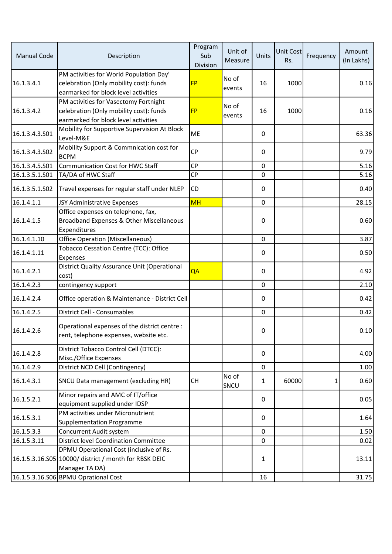| <b>Manual Code</b> | Description                                                                                                                | Program<br>Sub<br><b>Division</b> | Unit of<br>Measure | Units        | Unit Cost<br>Rs. | Frequency | Amount<br>(In Lakhs) |
|--------------------|----------------------------------------------------------------------------------------------------------------------------|-----------------------------------|--------------------|--------------|------------------|-----------|----------------------|
| 16.1.3.4.1         | PM activities for World Population Day'<br>celebration (Only mobility cost): funds<br>earmarked for block level activities | <b>FP</b>                         | No of<br>events    | 16           | 1000             |           | 0.16                 |
| 16.1.3.4.2         | PM activities for Vasectomy Fortnight<br>celebration (Only mobility cost): funds<br>earmarked for block level activities   | <b>FP</b>                         | No of<br>events    | 16           | 1000             |           | 0.16                 |
| 16.1.3.4.3.501     | Mobility for Supportive Supervision At Block<br>Level-M&E                                                                  | ME                                |                    | 0            |                  |           | 63.36                |
| 16.1.3.4.3.502     | Mobility Support & Commnication cost for<br><b>BCPM</b>                                                                    | <b>CP</b>                         |                    | $\Omega$     |                  |           | 9.79                 |
| 16.1.3.4.5.S01     | <b>Communication Cost for HWC Staff</b>                                                                                    | <b>CP</b>                         |                    | 0            |                  |           | 5.16                 |
| 16.1.3.5.1.S01     | TA/DA of HWC Staff                                                                                                         | <b>CP</b>                         |                    | 0            |                  |           | 5.16                 |
| 16.1.3.5.1.S02     | Travel expenses for regular staff under NLEP                                                                               | <b>CD</b>                         |                    | 0            |                  |           | 0.40                 |
| 16.1.4.1.1         | JSY Administrative Expenses                                                                                                | <b>MH</b>                         |                    | 0            |                  |           | 28.15                |
| 16.1.4.1.5         | Office expenses on telephone, fax,<br>Broadband Expenses & Other Miscellaneous<br>Expenditures                             |                                   |                    | 0            |                  |           | 0.60                 |
| 16.1.4.1.10        | <b>Office Operation (Miscellaneous)</b>                                                                                    |                                   |                    | 0            |                  |           | 3.87                 |
| 16.1.4.1.11        | Tobacco Cessation Centre (TCC): Office<br>Expenses                                                                         |                                   |                    | 0            |                  |           | 0.50                 |
| 16.1.4.2.1         | District Quality Assurance Unit (Operational<br>cost)                                                                      | QA                                |                    | 0            |                  |           | 4.92                 |
| 16.1.4.2.3         | contingency support                                                                                                        |                                   |                    | 0            |                  |           | 2.10                 |
| 16.1.4.2.4         | Office operation & Maintenance - District Cell                                                                             |                                   |                    | 0            |                  |           | 0.42                 |
| 16.1.4.2.5         | <b>District Cell - Consumables</b>                                                                                         |                                   |                    | 0            |                  |           | 0.42                 |
| 16.1.4.2.6         | Operational expenses of the district centre :<br>rent, telephone expenses, website etc.                                    |                                   |                    | 0            |                  |           | 0.10                 |
| 16.1.4.2.8         | District Tobacco Control Cell (DTCC):<br>Misc./Office Expenses                                                             |                                   |                    | 0            |                  |           | 4.00                 |
| 16.1.4.2.9         | District NCD Cell (Contingency)                                                                                            |                                   |                    | 0            |                  |           | 1.00                 |
| 16.1.4.3.1         | SNCU Data management (excluding HR)                                                                                        | <b>CH</b>                         | No of<br>SNCU      | $\mathbf{1}$ | 60000            | 1         | 0.60                 |
| 16.1.5.2.1         | Minor repairs and AMC of IT/office<br>equipment supplied under IDSP                                                        |                                   |                    | 0            |                  |           | 0.05                 |
| 16.1.5.3.1         | PM activities under Micronutrient<br><b>Supplementation Programme</b>                                                      |                                   |                    | 0            |                  |           | 1.64                 |
| 16.1.5.3.3         | Concurrent Audit system                                                                                                    |                                   |                    | 0            |                  |           | 1.50                 |
| 16.1.5.3.11        | <b>District level Coordination Committee</b>                                                                               |                                   |                    | 0            |                  |           | 0.02                 |
|                    | DPMU Operational Cost (inclusive of Rs.                                                                                    |                                   |                    |              |                  |           |                      |
|                    | 16.1.5.3.16.S05 10000/ district / month for RBSK DEIC<br>Manager TA DA)                                                    |                                   |                    | 1            |                  |           | 13.11                |
|                    | 16.1.5.3.16.S06 BPMU Oprational Cost                                                                                       |                                   |                    | 16           |                  |           | 31.75                |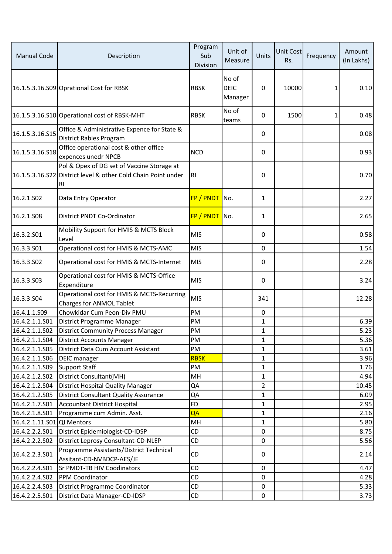| <b>Manual Code</b>         | Description                                                                                                        | Program<br>Sub<br>Division | Unit of<br>Measure              | Units          | Unit Cost<br>Rs. | Frequency | Amount<br>(In Lakhs) |
|----------------------------|--------------------------------------------------------------------------------------------------------------------|----------------------------|---------------------------------|----------------|------------------|-----------|----------------------|
|                            | 16.1.5.3.16.S09 Oprational Cost for RBSK                                                                           | <b>RBSK</b>                | No of<br><b>DEIC</b><br>Manager | 0              | 10000            | 1         | 0.10                 |
|                            | 16.1.5.3.16.S10 Operational cost of RBSK-MHT                                                                       | <b>RBSK</b>                | No of<br>teams                  | 0              | 1500             | 1         | 0.48                 |
| 16.1.5.3.16.515            | Office & Administrative Expence for State &<br><b>District Rabies Program</b>                                      |                            |                                 | 0              |                  |           | 0.08                 |
| 16.1.5.3.16.S18            | Office operational cost & other office<br>expences unedr NPCB                                                      | <b>NCD</b>                 |                                 | 0              |                  |           | 0.93                 |
|                            | Pol & Opex of DG set of Vaccine Storage at<br>16.1.5.3.16.S22 District level & other Cold Chain Point under<br>RI. | RI                         |                                 | 0              |                  |           | 0.70                 |
| 16.2.1.S02                 | Data Entry Operator                                                                                                | FP / PNDT No.              |                                 | $\mathbf{1}$   |                  |           | 2.27                 |
| 16.2.1.S08                 | District PNDT Co-Ordinator                                                                                         | FP / PNDT                  | No.                             | $\mathbf{1}$   |                  |           | 2.65                 |
| 16.3.2.S01                 | Mobility Support for HMIS & MCTS Block<br>Level                                                                    | <b>MIS</b>                 |                                 | 0              |                  |           | 0.58                 |
| 16.3.3.S01                 | Operational cost for HMIS & MCTS-AMC                                                                               | MIS                        |                                 | 0              |                  |           | 1.54                 |
| 16.3.3.502                 | Operational cost for HMIS & MCTS-Internet                                                                          | MIS                        |                                 | 0              |                  |           | 2.28                 |
| 16.3.3.S03                 | Operational cost for HMIS & MCTS-Office<br>Expenditure                                                             | <b>MIS</b>                 |                                 | 0              |                  |           | 3.24                 |
| 16.3.3.504                 | Operational cost for HMIS & MCTS-Recurring<br><b>Charges for ANMOL Tablet</b>                                      | MIS                        |                                 | 341            |                  |           | 12.28                |
| 16.4.1.1.S09               | Chowkidar Cum Peon-Div PMU                                                                                         | PM                         |                                 | 0              |                  |           |                      |
| 16.4.2.1.1.S01             | District Programme Manager                                                                                         | PM                         |                                 | 1              |                  |           | 6.39                 |
| 16.4.2.1.1.S02             | <b>District Community Process Manager</b>                                                                          | PM                         |                                 | 1              |                  |           | 5.23                 |
| 16.4.2.1.1.S04             | <b>District Accounts Manager</b>                                                                                   | PM                         |                                 | 1              |                  |           | 5.36                 |
| 16.4.2.1.1.505             | District Data Cum Account Assistant                                                                                | PM                         |                                 | 1              |                  |           | 3.61                 |
| 16.4.2.1.1.506             | <b>DEIC</b> manager                                                                                                | <b>RBSK</b>                |                                 | 1              |                  |           | 3.96                 |
| 16.4.2.1.1.509             | Support Staff                                                                                                      | PM                         |                                 | 1              |                  |           | 1.76                 |
| 16.4.2.1.2.502             | District Consultant(MH)                                                                                            | MH                         |                                 | 1              |                  |           | 4.94                 |
| 16.4.2.1.2.504             | <b>District Hospital Quality Manager</b>                                                                           | QA                         |                                 | $\overline{2}$ |                  |           | 10.45                |
| 16.4.2.1.2.505             | <b>District Consultant Quality Assurance</b>                                                                       | QA                         |                                 | 1              |                  |           | 6.09                 |
| 16.4.2.1.7.501             | <b>Accountant District Hospital</b>                                                                                | <b>FD</b>                  |                                 | $\mathbf{1}$   |                  |           | 2.95                 |
| 16.4.2.1.8.501             | Programme cum Admin. Asst.                                                                                         | QA                         |                                 | 1              |                  |           | 2.16                 |
| 16.4.2.1.11.S01 QI Mentors |                                                                                                                    | MH                         |                                 | 1              |                  |           | 5.80                 |
| 16.4.2.2.2.S01             | District Epidemiologist-CD-IDSP                                                                                    | CD                         |                                 | 0              |                  |           | 8.75                 |
| 16.4.2.2.2.502             | District Leprosy Consultant-CD-NLEP                                                                                | CD                         |                                 | 0              |                  |           | 5.56                 |
| 16.4.2.2.3.S01             | Programme Assistants/District Technical<br>Assitant-CD-NVBDCP-AES/JE                                               | CD                         |                                 | 0              |                  |           | 2.14                 |
| 16.4.2.2.4.S01             | Sr PMDT-TB HIV Coodinators                                                                                         | CD                         |                                 | 0              |                  |           | 4.47                 |
| 16.4.2.2.4.502             | PPM Coordinator                                                                                                    | CD                         |                                 | 0              |                  |           | 4.28                 |
| 16.4.2.2.4.503             | District Programme Coordinator                                                                                     | CD                         |                                 | 0              |                  |           | 5.33                 |
| 16.4.2.2.5.S01             | District Data Manager-CD-IDSP                                                                                      | CD                         |                                 | 0              |                  |           | 3.73                 |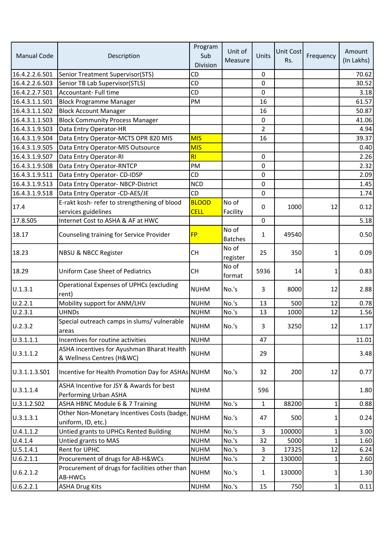| Senior Treatment Supervisor(STS)<br>CD<br>70.62<br>0<br>Senior TB Lab Supervisor(STLS)<br><b>CD</b><br>$\pmb{0}$<br>Accountant- Full time<br>CD<br>$\pmb{0}$<br><b>Block Programme Manager</b><br>PM<br>16<br><b>Block Account Manager</b><br>16<br><b>Block Community Process Manager</b><br>0<br>Data Entry Operator-HR<br>$\overline{2}$<br>Data Entry Operator-MCTS OPR 820 MIS<br><b>MIS</b><br>39.37<br>16<br>Data Entry Operator-MIS Outsource<br><b>MIS</b><br>RI<br>$\pmb{0}$<br>Data Entry Operator-RI<br>2.26<br>PM<br>16.4.3.1.9.S08<br>Data Entry Operator-RNTCP<br>$\mathbf 0$<br>2.32<br>Data Entry Operator- CD-IDSP<br>CD<br>$\pmb{0}$<br>16.4.3.1.9.S11<br>2.09<br>16.4.3.1.9.S13<br><b>NCD</b><br>$\pmb{0}$<br>Data Entry Operator-NBCP-District<br>1.45<br><b>CD</b><br>16.4.3.1.9.S18<br>Data Entry Operator -CD-AES/JE<br>$\mathbf 0$<br>1.74<br><b>BLOOD</b><br>E-rakt kosh- refer to strengthening of blood<br>No of<br>12<br>0.12<br>0<br>1000<br>services guidelines<br><b>CELL</b><br>Facility<br>Internet Cost to ASHA & AF at HWC<br>17.8.S05<br>$\mathbf 0$<br>5.18<br>No of<br><b>FP</b><br>18.17<br>Counseling training for Service Provider<br>$\mathbf{1}$<br>49540<br>0.50<br><b>Batches</b><br>No of<br>25<br>0.09<br><b>CH</b><br>350<br>NBSU & NBCC Register<br>1<br>register<br>No of<br><b>Uniform Case Sheet of Pediatrics</b><br>5936<br><b>CH</b><br>14<br>1<br>format<br><b>Operational Expenses of UPHCs (excluding</b><br><b>NUHM</b><br>No.'s<br>3<br>12<br>8000<br>rent)<br>No.'s<br>Mobility support for ANM/LHV<br>U.2.2.1<br><b>NUHM</b><br>13<br>500<br>12<br>0.78<br>No.'s<br>U.2.3.1<br><b>UHNDs</b><br><b>NUHM</b><br>13<br>12<br>1.56<br>1000<br>Special outreach camps in slums/ vulnerable<br>1.17<br>No.'s<br>3<br>3250<br>12<br><b>NUHM</b><br>areas<br>Incentives for routine activities<br><b>NUHM</b><br>11.01<br>47<br>ASHA incentives for Ayushman Bharat Health<br>3.48<br><b>NUHM</b><br>29<br>& Wellness Centres (H&WC)<br>12<br>0.77<br>Incentive for Health Promotion Day for ASHAs NUHM<br>No.'s<br>32<br>200<br>ASHA Incentive for JSY & Awards for best<br><b>NUHM</b><br>596<br>1.80<br>Performing Urban ASHA<br>No.'s<br>U.3.1.2.S02<br>ASHA HBNC Module 6 & 7 Training<br><b>NUHM</b><br>88200<br>1<br>0.88<br>$\mathbf{1}$<br>Other Non-Monetary Incentives Costs (badge,<br>0.24<br> U.3.1.3.1 <br><b>NUHM</b><br>No.'s<br>47<br>500<br>1<br>uniform, ID, etc.)<br>No.'s<br>U.4.1.1.2<br>Untied grants to UPHCs Rented Building<br><b>NUHM</b><br>$\overline{3}$<br>100000<br>3.00<br>1<br>No.'s<br>$\mathbf 1$<br>U.4.1.4<br>Untied grants to MAS<br><b>NUHM</b><br>32<br>5000<br>1.60<br>12<br>U.5.1.4.1<br>Rent for UPHC<br><b>NUHM</b><br>No.'s<br>3<br>17325<br>6.24<br>Procurement of drugs for AB-H&WCs<br>No.'s<br>$\overline{2}$<br>U.6.2.1.1<br><b>NUHM</b><br>130000<br>2.60<br>1<br>Procurement of drugs for facilities other than<br>No.'s<br><b>NUHM</b><br>$\mathbf{1}$<br>130000<br>1<br>AB-HWCs<br>U.6.2.2.1<br>No.'s<br>15<br>750<br>$1\vert$<br><b>ASHA Drug Kits</b><br><b>NUHM</b><br>0.11 | <b>Manual Code</b> | Description | Program<br>Sub<br>Division | Unit of<br>Measure | Units | <b>Unit Cost</b><br>Rs. | Frequency | Amount<br>(In Lakhs) |
|-----------------------------------------------------------------------------------------------------------------------------------------------------------------------------------------------------------------------------------------------------------------------------------------------------------------------------------------------------------------------------------------------------------------------------------------------------------------------------------------------------------------------------------------------------------------------------------------------------------------------------------------------------------------------------------------------------------------------------------------------------------------------------------------------------------------------------------------------------------------------------------------------------------------------------------------------------------------------------------------------------------------------------------------------------------------------------------------------------------------------------------------------------------------------------------------------------------------------------------------------------------------------------------------------------------------------------------------------------------------------------------------------------------------------------------------------------------------------------------------------------------------------------------------------------------------------------------------------------------------------------------------------------------------------------------------------------------------------------------------------------------------------------------------------------------------------------------------------------------------------------------------------------------------------------------------------------------------------------------------------------------------------------------------------------------------------------------------------------------------------------------------------------------------------------------------------------------------------------------------------------------------------------------------------------------------------------------------------------------------------------------------------------------------------------------------------------------------------------------------------------------------------------------------------------------------------------------------------------------------------------------------------------------------------------------------------------------------------------------------------------------------------------------------------------------------------------------------------------------------------------------------------------------------------------------------------------------------------------------------------------------------------------------------------------------------------------------------------|--------------------|-------------|----------------------------|--------------------|-------|-------------------------|-----------|----------------------|
|                                                                                                                                                                                                                                                                                                                                                                                                                                                                                                                                                                                                                                                                                                                                                                                                                                                                                                                                                                                                                                                                                                                                                                                                                                                                                                                                                                                                                                                                                                                                                                                                                                                                                                                                                                                                                                                                                                                                                                                                                                                                                                                                                                                                                                                                                                                                                                                                                                                                                                                                                                                                                                                                                                                                                                                                                                                                                                                                                                                                                                                                                               | 16.4.2.2.6.S01     |             |                            |                    |       |                         |           |                      |
|                                                                                                                                                                                                                                                                                                                                                                                                                                                                                                                                                                                                                                                                                                                                                                                                                                                                                                                                                                                                                                                                                                                                                                                                                                                                                                                                                                                                                                                                                                                                                                                                                                                                                                                                                                                                                                                                                                                                                                                                                                                                                                                                                                                                                                                                                                                                                                                                                                                                                                                                                                                                                                                                                                                                                                                                                                                                                                                                                                                                                                                                                               | 16.4.2.2.6.S03     |             |                            |                    |       |                         |           | 30.52                |
|                                                                                                                                                                                                                                                                                                                                                                                                                                                                                                                                                                                                                                                                                                                                                                                                                                                                                                                                                                                                                                                                                                                                                                                                                                                                                                                                                                                                                                                                                                                                                                                                                                                                                                                                                                                                                                                                                                                                                                                                                                                                                                                                                                                                                                                                                                                                                                                                                                                                                                                                                                                                                                                                                                                                                                                                                                                                                                                                                                                                                                                                                               | 16.4.2.2.7.S01     |             |                            |                    |       |                         |           | 3.18                 |
|                                                                                                                                                                                                                                                                                                                                                                                                                                                                                                                                                                                                                                                                                                                                                                                                                                                                                                                                                                                                                                                                                                                                                                                                                                                                                                                                                                                                                                                                                                                                                                                                                                                                                                                                                                                                                                                                                                                                                                                                                                                                                                                                                                                                                                                                                                                                                                                                                                                                                                                                                                                                                                                                                                                                                                                                                                                                                                                                                                                                                                                                                               | 16.4.3.1.1.S01     |             |                            |                    |       |                         |           | 61.57                |
|                                                                                                                                                                                                                                                                                                                                                                                                                                                                                                                                                                                                                                                                                                                                                                                                                                                                                                                                                                                                                                                                                                                                                                                                                                                                                                                                                                                                                                                                                                                                                                                                                                                                                                                                                                                                                                                                                                                                                                                                                                                                                                                                                                                                                                                                                                                                                                                                                                                                                                                                                                                                                                                                                                                                                                                                                                                                                                                                                                                                                                                                                               | 16.4.3.1.1.S02     |             |                            |                    |       |                         |           | 50.87                |
|                                                                                                                                                                                                                                                                                                                                                                                                                                                                                                                                                                                                                                                                                                                                                                                                                                                                                                                                                                                                                                                                                                                                                                                                                                                                                                                                                                                                                                                                                                                                                                                                                                                                                                                                                                                                                                                                                                                                                                                                                                                                                                                                                                                                                                                                                                                                                                                                                                                                                                                                                                                                                                                                                                                                                                                                                                                                                                                                                                                                                                                                                               | 16.4.3.1.1.S03     |             |                            |                    |       |                         |           | 41.06                |
|                                                                                                                                                                                                                                                                                                                                                                                                                                                                                                                                                                                                                                                                                                                                                                                                                                                                                                                                                                                                                                                                                                                                                                                                                                                                                                                                                                                                                                                                                                                                                                                                                                                                                                                                                                                                                                                                                                                                                                                                                                                                                                                                                                                                                                                                                                                                                                                                                                                                                                                                                                                                                                                                                                                                                                                                                                                                                                                                                                                                                                                                                               | 16.4.3.1.9.S03     |             |                            |                    |       |                         |           | 4.94                 |
|                                                                                                                                                                                                                                                                                                                                                                                                                                                                                                                                                                                                                                                                                                                                                                                                                                                                                                                                                                                                                                                                                                                                                                                                                                                                                                                                                                                                                                                                                                                                                                                                                                                                                                                                                                                                                                                                                                                                                                                                                                                                                                                                                                                                                                                                                                                                                                                                                                                                                                                                                                                                                                                                                                                                                                                                                                                                                                                                                                                                                                                                                               | 16.4.3.1.9.S04     |             |                            |                    |       |                         |           |                      |
|                                                                                                                                                                                                                                                                                                                                                                                                                                                                                                                                                                                                                                                                                                                                                                                                                                                                                                                                                                                                                                                                                                                                                                                                                                                                                                                                                                                                                                                                                                                                                                                                                                                                                                                                                                                                                                                                                                                                                                                                                                                                                                                                                                                                                                                                                                                                                                                                                                                                                                                                                                                                                                                                                                                                                                                                                                                                                                                                                                                                                                                                                               | 16.4.3.1.9.S05     |             |                            |                    |       |                         |           | 0.40                 |
|                                                                                                                                                                                                                                                                                                                                                                                                                                                                                                                                                                                                                                                                                                                                                                                                                                                                                                                                                                                                                                                                                                                                                                                                                                                                                                                                                                                                                                                                                                                                                                                                                                                                                                                                                                                                                                                                                                                                                                                                                                                                                                                                                                                                                                                                                                                                                                                                                                                                                                                                                                                                                                                                                                                                                                                                                                                                                                                                                                                                                                                                                               | 16.4.3.1.9.S07     |             |                            |                    |       |                         |           |                      |
|                                                                                                                                                                                                                                                                                                                                                                                                                                                                                                                                                                                                                                                                                                                                                                                                                                                                                                                                                                                                                                                                                                                                                                                                                                                                                                                                                                                                                                                                                                                                                                                                                                                                                                                                                                                                                                                                                                                                                                                                                                                                                                                                                                                                                                                                                                                                                                                                                                                                                                                                                                                                                                                                                                                                                                                                                                                                                                                                                                                                                                                                                               |                    |             |                            |                    |       |                         |           |                      |
|                                                                                                                                                                                                                                                                                                                                                                                                                                                                                                                                                                                                                                                                                                                                                                                                                                                                                                                                                                                                                                                                                                                                                                                                                                                                                                                                                                                                                                                                                                                                                                                                                                                                                                                                                                                                                                                                                                                                                                                                                                                                                                                                                                                                                                                                                                                                                                                                                                                                                                                                                                                                                                                                                                                                                                                                                                                                                                                                                                                                                                                                                               |                    |             |                            |                    |       |                         |           |                      |
|                                                                                                                                                                                                                                                                                                                                                                                                                                                                                                                                                                                                                                                                                                                                                                                                                                                                                                                                                                                                                                                                                                                                                                                                                                                                                                                                                                                                                                                                                                                                                                                                                                                                                                                                                                                                                                                                                                                                                                                                                                                                                                                                                                                                                                                                                                                                                                                                                                                                                                                                                                                                                                                                                                                                                                                                                                                                                                                                                                                                                                                                                               |                    |             |                            |                    |       |                         |           |                      |
|                                                                                                                                                                                                                                                                                                                                                                                                                                                                                                                                                                                                                                                                                                                                                                                                                                                                                                                                                                                                                                                                                                                                                                                                                                                                                                                                                                                                                                                                                                                                                                                                                                                                                                                                                                                                                                                                                                                                                                                                                                                                                                                                                                                                                                                                                                                                                                                                                                                                                                                                                                                                                                                                                                                                                                                                                                                                                                                                                                                                                                                                                               |                    |             |                            |                    |       |                         |           |                      |
|                                                                                                                                                                                                                                                                                                                                                                                                                                                                                                                                                                                                                                                                                                                                                                                                                                                                                                                                                                                                                                                                                                                                                                                                                                                                                                                                                                                                                                                                                                                                                                                                                                                                                                                                                                                                                                                                                                                                                                                                                                                                                                                                                                                                                                                                                                                                                                                                                                                                                                                                                                                                                                                                                                                                                                                                                                                                                                                                                                                                                                                                                               |                    |             |                            |                    |       |                         |           |                      |
|                                                                                                                                                                                                                                                                                                                                                                                                                                                                                                                                                                                                                                                                                                                                                                                                                                                                                                                                                                                                                                                                                                                                                                                                                                                                                                                                                                                                                                                                                                                                                                                                                                                                                                                                                                                                                                                                                                                                                                                                                                                                                                                                                                                                                                                                                                                                                                                                                                                                                                                                                                                                                                                                                                                                                                                                                                                                                                                                                                                                                                                                                               | 17.4               |             |                            |                    |       |                         |           |                      |
|                                                                                                                                                                                                                                                                                                                                                                                                                                                                                                                                                                                                                                                                                                                                                                                                                                                                                                                                                                                                                                                                                                                                                                                                                                                                                                                                                                                                                                                                                                                                                                                                                                                                                                                                                                                                                                                                                                                                                                                                                                                                                                                                                                                                                                                                                                                                                                                                                                                                                                                                                                                                                                                                                                                                                                                                                                                                                                                                                                                                                                                                                               |                    |             |                            |                    |       |                         |           |                      |
|                                                                                                                                                                                                                                                                                                                                                                                                                                                                                                                                                                                                                                                                                                                                                                                                                                                                                                                                                                                                                                                                                                                                                                                                                                                                                                                                                                                                                                                                                                                                                                                                                                                                                                                                                                                                                                                                                                                                                                                                                                                                                                                                                                                                                                                                                                                                                                                                                                                                                                                                                                                                                                                                                                                                                                                                                                                                                                                                                                                                                                                                                               |                    |             |                            |                    |       |                         |           |                      |
|                                                                                                                                                                                                                                                                                                                                                                                                                                                                                                                                                                                                                                                                                                                                                                                                                                                                                                                                                                                                                                                                                                                                                                                                                                                                                                                                                                                                                                                                                                                                                                                                                                                                                                                                                                                                                                                                                                                                                                                                                                                                                                                                                                                                                                                                                                                                                                                                                                                                                                                                                                                                                                                                                                                                                                                                                                                                                                                                                                                                                                                                                               |                    |             |                            |                    |       |                         |           |                      |
|                                                                                                                                                                                                                                                                                                                                                                                                                                                                                                                                                                                                                                                                                                                                                                                                                                                                                                                                                                                                                                                                                                                                                                                                                                                                                                                                                                                                                                                                                                                                                                                                                                                                                                                                                                                                                                                                                                                                                                                                                                                                                                                                                                                                                                                                                                                                                                                                                                                                                                                                                                                                                                                                                                                                                                                                                                                                                                                                                                                                                                                                                               |                    |             |                            |                    |       |                         |           |                      |
|                                                                                                                                                                                                                                                                                                                                                                                                                                                                                                                                                                                                                                                                                                                                                                                                                                                                                                                                                                                                                                                                                                                                                                                                                                                                                                                                                                                                                                                                                                                                                                                                                                                                                                                                                                                                                                                                                                                                                                                                                                                                                                                                                                                                                                                                                                                                                                                                                                                                                                                                                                                                                                                                                                                                                                                                                                                                                                                                                                                                                                                                                               | 18.23              |             |                            |                    |       |                         |           |                      |
|                                                                                                                                                                                                                                                                                                                                                                                                                                                                                                                                                                                                                                                                                                                                                                                                                                                                                                                                                                                                                                                                                                                                                                                                                                                                                                                                                                                                                                                                                                                                                                                                                                                                                                                                                                                                                                                                                                                                                                                                                                                                                                                                                                                                                                                                                                                                                                                                                                                                                                                                                                                                                                                                                                                                                                                                                                                                                                                                                                                                                                                                                               | 18.29              |             |                            |                    |       |                         |           | 0.83                 |
|                                                                                                                                                                                                                                                                                                                                                                                                                                                                                                                                                                                                                                                                                                                                                                                                                                                                                                                                                                                                                                                                                                                                                                                                                                                                                                                                                                                                                                                                                                                                                                                                                                                                                                                                                                                                                                                                                                                                                                                                                                                                                                                                                                                                                                                                                                                                                                                                                                                                                                                                                                                                                                                                                                                                                                                                                                                                                                                                                                                                                                                                                               |                    |             |                            |                    |       |                         |           |                      |
|                                                                                                                                                                                                                                                                                                                                                                                                                                                                                                                                                                                                                                                                                                                                                                                                                                                                                                                                                                                                                                                                                                                                                                                                                                                                                                                                                                                                                                                                                                                                                                                                                                                                                                                                                                                                                                                                                                                                                                                                                                                                                                                                                                                                                                                                                                                                                                                                                                                                                                                                                                                                                                                                                                                                                                                                                                                                                                                                                                                                                                                                                               | U.1.3.1            |             |                            |                    |       |                         |           | 2.88                 |
|                                                                                                                                                                                                                                                                                                                                                                                                                                                                                                                                                                                                                                                                                                                                                                                                                                                                                                                                                                                                                                                                                                                                                                                                                                                                                                                                                                                                                                                                                                                                                                                                                                                                                                                                                                                                                                                                                                                                                                                                                                                                                                                                                                                                                                                                                                                                                                                                                                                                                                                                                                                                                                                                                                                                                                                                                                                                                                                                                                                                                                                                                               |                    |             |                            |                    |       |                         |           |                      |
|                                                                                                                                                                                                                                                                                                                                                                                                                                                                                                                                                                                                                                                                                                                                                                                                                                                                                                                                                                                                                                                                                                                                                                                                                                                                                                                                                                                                                                                                                                                                                                                                                                                                                                                                                                                                                                                                                                                                                                                                                                                                                                                                                                                                                                                                                                                                                                                                                                                                                                                                                                                                                                                                                                                                                                                                                                                                                                                                                                                                                                                                                               |                    |             |                            |                    |       |                         |           |                      |
|                                                                                                                                                                                                                                                                                                                                                                                                                                                                                                                                                                                                                                                                                                                                                                                                                                                                                                                                                                                                                                                                                                                                                                                                                                                                                                                                                                                                                                                                                                                                                                                                                                                                                                                                                                                                                                                                                                                                                                                                                                                                                                                                                                                                                                                                                                                                                                                                                                                                                                                                                                                                                                                                                                                                                                                                                                                                                                                                                                                                                                                                                               |                    |             |                            |                    |       |                         |           |                      |
|                                                                                                                                                                                                                                                                                                                                                                                                                                                                                                                                                                                                                                                                                                                                                                                                                                                                                                                                                                                                                                                                                                                                                                                                                                                                                                                                                                                                                                                                                                                                                                                                                                                                                                                                                                                                                                                                                                                                                                                                                                                                                                                                                                                                                                                                                                                                                                                                                                                                                                                                                                                                                                                                                                                                                                                                                                                                                                                                                                                                                                                                                               | U.2.3.2            |             |                            |                    |       |                         |           |                      |
|                                                                                                                                                                                                                                                                                                                                                                                                                                                                                                                                                                                                                                                                                                                                                                                                                                                                                                                                                                                                                                                                                                                                                                                                                                                                                                                                                                                                                                                                                                                                                                                                                                                                                                                                                                                                                                                                                                                                                                                                                                                                                                                                                                                                                                                                                                                                                                                                                                                                                                                                                                                                                                                                                                                                                                                                                                                                                                                                                                                                                                                                                               | U.3.1.1.1          |             |                            |                    |       |                         |           |                      |
|                                                                                                                                                                                                                                                                                                                                                                                                                                                                                                                                                                                                                                                                                                                                                                                                                                                                                                                                                                                                                                                                                                                                                                                                                                                                                                                                                                                                                                                                                                                                                                                                                                                                                                                                                                                                                                                                                                                                                                                                                                                                                                                                                                                                                                                                                                                                                                                                                                                                                                                                                                                                                                                                                                                                                                                                                                                                                                                                                                                                                                                                                               | U.3.1.1.2          |             |                            |                    |       |                         |           |                      |
|                                                                                                                                                                                                                                                                                                                                                                                                                                                                                                                                                                                                                                                                                                                                                                                                                                                                                                                                                                                                                                                                                                                                                                                                                                                                                                                                                                                                                                                                                                                                                                                                                                                                                                                                                                                                                                                                                                                                                                                                                                                                                                                                                                                                                                                                                                                                                                                                                                                                                                                                                                                                                                                                                                                                                                                                                                                                                                                                                                                                                                                                                               | U.3.1.1.3.501      |             |                            |                    |       |                         |           |                      |
|                                                                                                                                                                                                                                                                                                                                                                                                                                                                                                                                                                                                                                                                                                                                                                                                                                                                                                                                                                                                                                                                                                                                                                                                                                                                                                                                                                                                                                                                                                                                                                                                                                                                                                                                                                                                                                                                                                                                                                                                                                                                                                                                                                                                                                                                                                                                                                                                                                                                                                                                                                                                                                                                                                                                                                                                                                                                                                                                                                                                                                                                                               | U.3.1.1.4          |             |                            |                    |       |                         |           |                      |
|                                                                                                                                                                                                                                                                                                                                                                                                                                                                                                                                                                                                                                                                                                                                                                                                                                                                                                                                                                                                                                                                                                                                                                                                                                                                                                                                                                                                                                                                                                                                                                                                                                                                                                                                                                                                                                                                                                                                                                                                                                                                                                                                                                                                                                                                                                                                                                                                                                                                                                                                                                                                                                                                                                                                                                                                                                                                                                                                                                                                                                                                                               |                    |             |                            |                    |       |                         |           |                      |
|                                                                                                                                                                                                                                                                                                                                                                                                                                                                                                                                                                                                                                                                                                                                                                                                                                                                                                                                                                                                                                                                                                                                                                                                                                                                                                                                                                                                                                                                                                                                                                                                                                                                                                                                                                                                                                                                                                                                                                                                                                                                                                                                                                                                                                                                                                                                                                                                                                                                                                                                                                                                                                                                                                                                                                                                                                                                                                                                                                                                                                                                                               |                    |             |                            |                    |       |                         |           |                      |
|                                                                                                                                                                                                                                                                                                                                                                                                                                                                                                                                                                                                                                                                                                                                                                                                                                                                                                                                                                                                                                                                                                                                                                                                                                                                                                                                                                                                                                                                                                                                                                                                                                                                                                                                                                                                                                                                                                                                                                                                                                                                                                                                                                                                                                                                                                                                                                                                                                                                                                                                                                                                                                                                                                                                                                                                                                                                                                                                                                                                                                                                                               |                    |             |                            |                    |       |                         |           |                      |
|                                                                                                                                                                                                                                                                                                                                                                                                                                                                                                                                                                                                                                                                                                                                                                                                                                                                                                                                                                                                                                                                                                                                                                                                                                                                                                                                                                                                                                                                                                                                                                                                                                                                                                                                                                                                                                                                                                                                                                                                                                                                                                                                                                                                                                                                                                                                                                                                                                                                                                                                                                                                                                                                                                                                                                                                                                                                                                                                                                                                                                                                                               |                    |             |                            |                    |       |                         |           |                      |
|                                                                                                                                                                                                                                                                                                                                                                                                                                                                                                                                                                                                                                                                                                                                                                                                                                                                                                                                                                                                                                                                                                                                                                                                                                                                                                                                                                                                                                                                                                                                                                                                                                                                                                                                                                                                                                                                                                                                                                                                                                                                                                                                                                                                                                                                                                                                                                                                                                                                                                                                                                                                                                                                                                                                                                                                                                                                                                                                                                                                                                                                                               |                    |             |                            |                    |       |                         |           |                      |
|                                                                                                                                                                                                                                                                                                                                                                                                                                                                                                                                                                                                                                                                                                                                                                                                                                                                                                                                                                                                                                                                                                                                                                                                                                                                                                                                                                                                                                                                                                                                                                                                                                                                                                                                                                                                                                                                                                                                                                                                                                                                                                                                                                                                                                                                                                                                                                                                                                                                                                                                                                                                                                                                                                                                                                                                                                                                                                                                                                                                                                                                                               |                    |             |                            |                    |       |                         |           |                      |
|                                                                                                                                                                                                                                                                                                                                                                                                                                                                                                                                                                                                                                                                                                                                                                                                                                                                                                                                                                                                                                                                                                                                                                                                                                                                                                                                                                                                                                                                                                                                                                                                                                                                                                                                                                                                                                                                                                                                                                                                                                                                                                                                                                                                                                                                                                                                                                                                                                                                                                                                                                                                                                                                                                                                                                                                                                                                                                                                                                                                                                                                                               |                    |             |                            |                    |       |                         |           |                      |
|                                                                                                                                                                                                                                                                                                                                                                                                                                                                                                                                                                                                                                                                                                                                                                                                                                                                                                                                                                                                                                                                                                                                                                                                                                                                                                                                                                                                                                                                                                                                                                                                                                                                                                                                                                                                                                                                                                                                                                                                                                                                                                                                                                                                                                                                                                                                                                                                                                                                                                                                                                                                                                                                                                                                                                                                                                                                                                                                                                                                                                                                                               | U.6.2.1.2          |             |                            |                    |       |                         |           | 1.30                 |
|                                                                                                                                                                                                                                                                                                                                                                                                                                                                                                                                                                                                                                                                                                                                                                                                                                                                                                                                                                                                                                                                                                                                                                                                                                                                                                                                                                                                                                                                                                                                                                                                                                                                                                                                                                                                                                                                                                                                                                                                                                                                                                                                                                                                                                                                                                                                                                                                                                                                                                                                                                                                                                                                                                                                                                                                                                                                                                                                                                                                                                                                                               |                    |             |                            |                    |       |                         |           |                      |